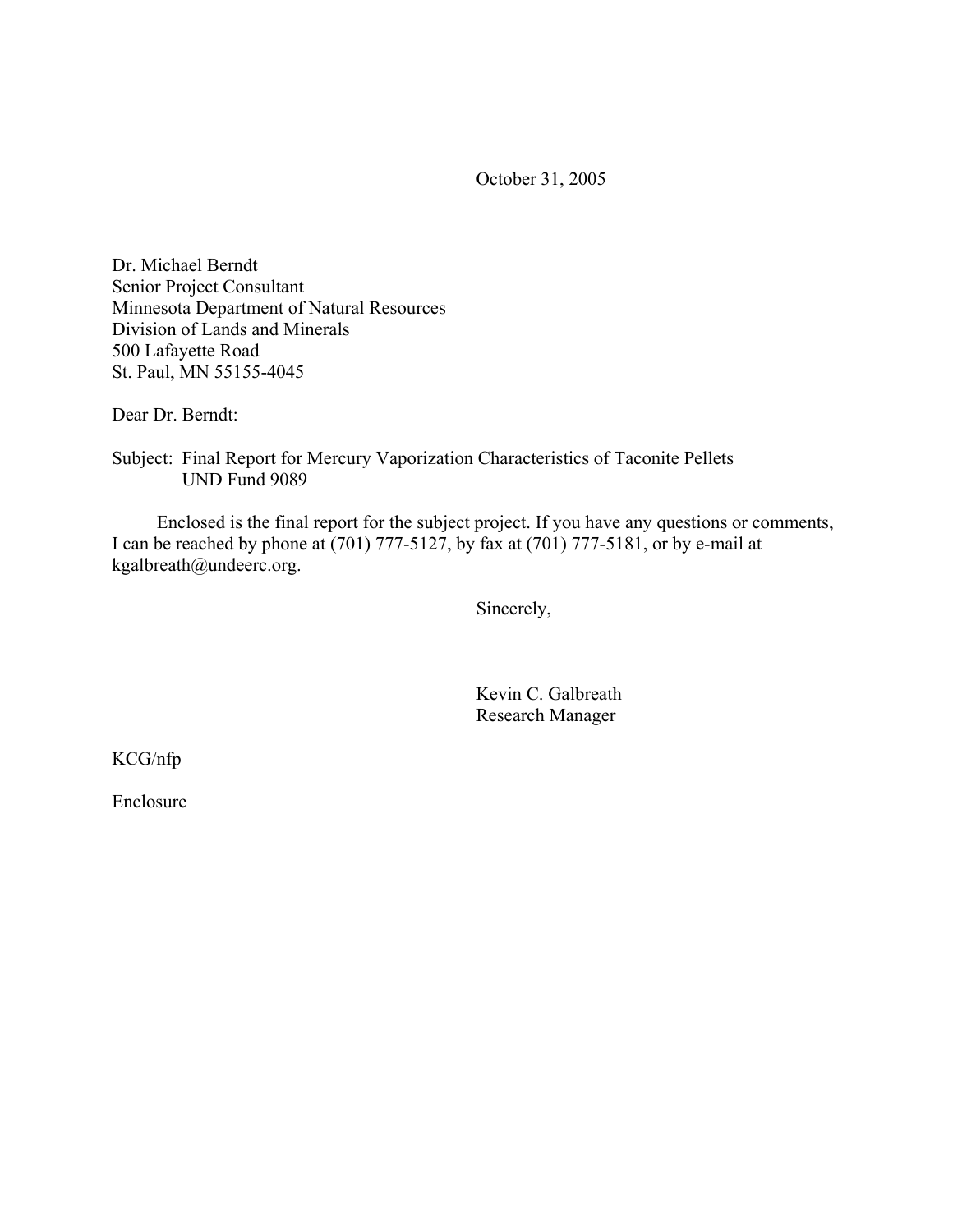October 31, 2005

Dr. Michael Berndt Senior Project Consultant Minnesota Department of Natural Resources Division of Lands and Minerals 500 Lafayette Road St. Paul, MN 55155-4045

Dear Dr. Berndt:

Subject: Final Report for Mercury Vaporization Characteristics of Taconite Pellets UND Fund 9089

 Enclosed is the final report for the subject project. If you have any questions or comments, I can be reached by phone at (701) 777-5127, by fax at (701) 777-5181, or by e-mail at kgalbreath@undeerc.org.

Sincerely,

 Kevin C. Galbreath Research Manager

KCG/nfp

Enclosure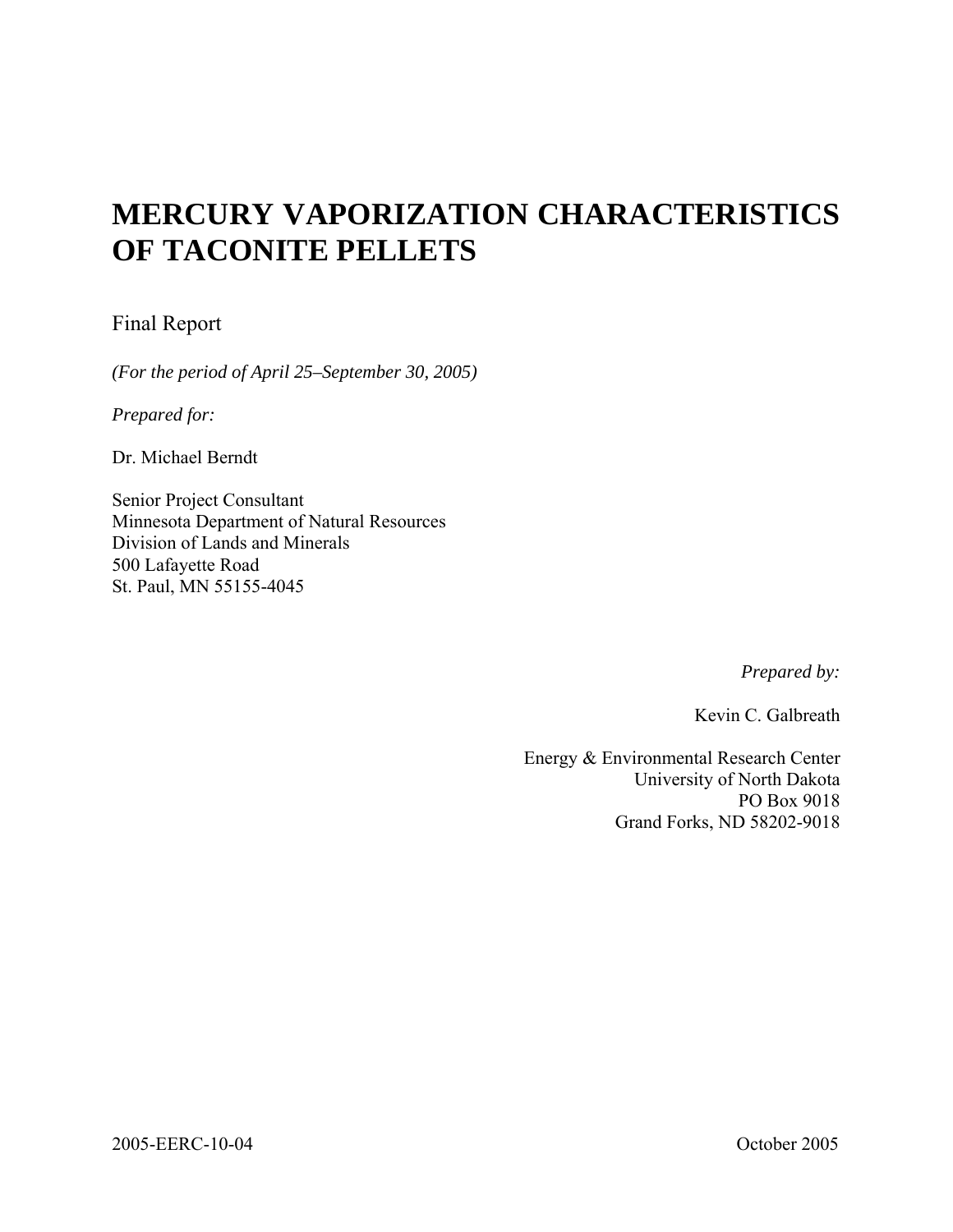# **MERCURY VAPORIZATION CHARACTERISTICS OF TACONITE PELLETS**

# Final Report

*(For the period of April 25–September 30, 2005)* 

*Prepared for:* 

Dr. Michael Berndt

Senior Project Consultant Minnesota Department of Natural Resources Division of Lands and Minerals 500 Lafayette Road St. Paul, MN 55155-4045

*Prepared by:* 

Kevin C. Galbreath

Energy & Environmental Research Center University of North Dakota PO Box 9018 Grand Forks, ND 58202-9018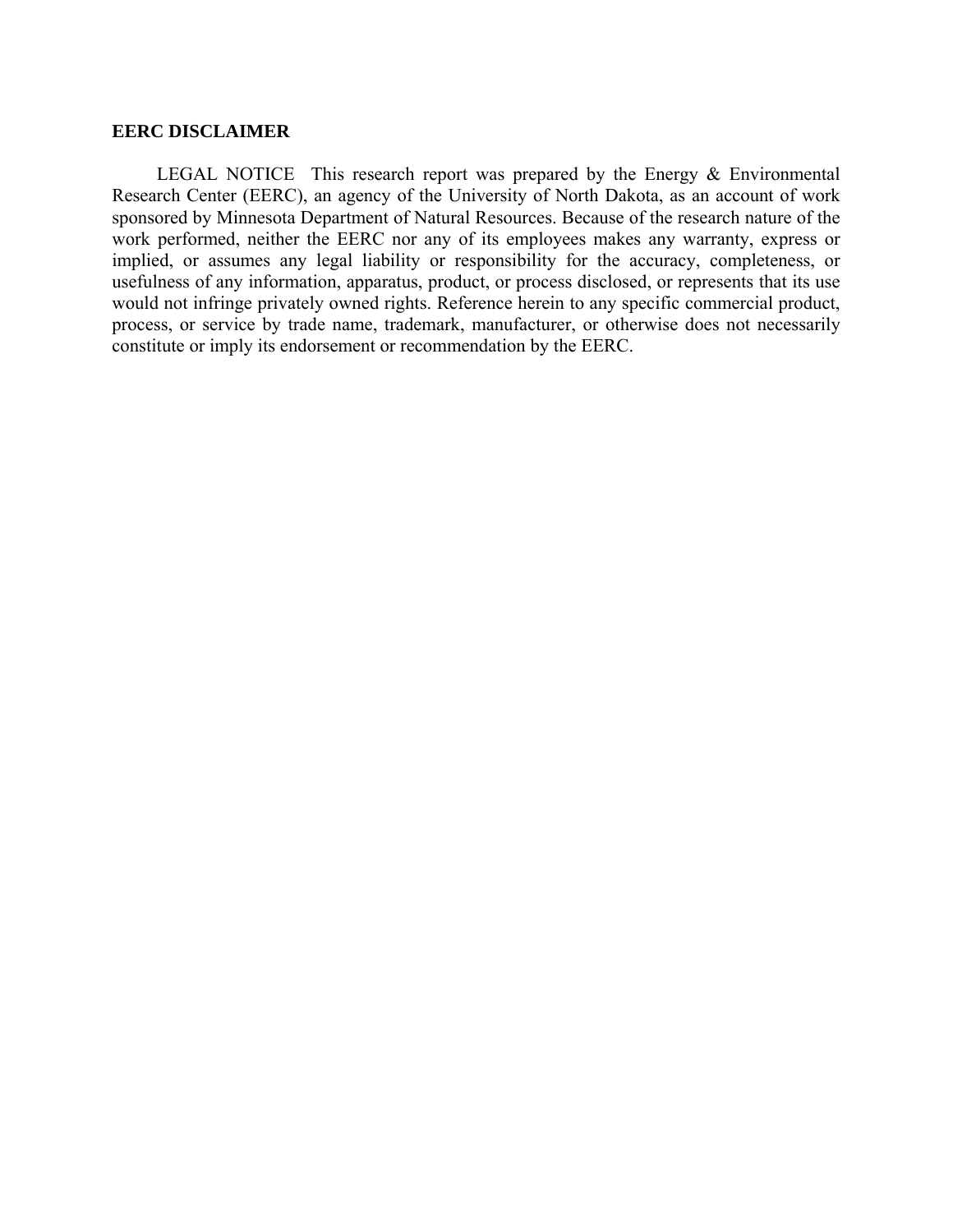## **EERC DISCLAIMER**

LEGAL NOTICE This research report was prepared by the Energy & Environmental Research Center (EERC), an agency of the University of North Dakota, as an account of work sponsored by Minnesota Department of Natural Resources. Because of the research nature of the work performed, neither the EERC nor any of its employees makes any warranty, express or implied, or assumes any legal liability or responsibility for the accuracy, completeness, or usefulness of any information, apparatus, product, or process disclosed, or represents that its use would not infringe privately owned rights. Reference herein to any specific commercial product, process, or service by trade name, trademark, manufacturer, or otherwise does not necessarily constitute or imply its endorsement or recommendation by the EERC.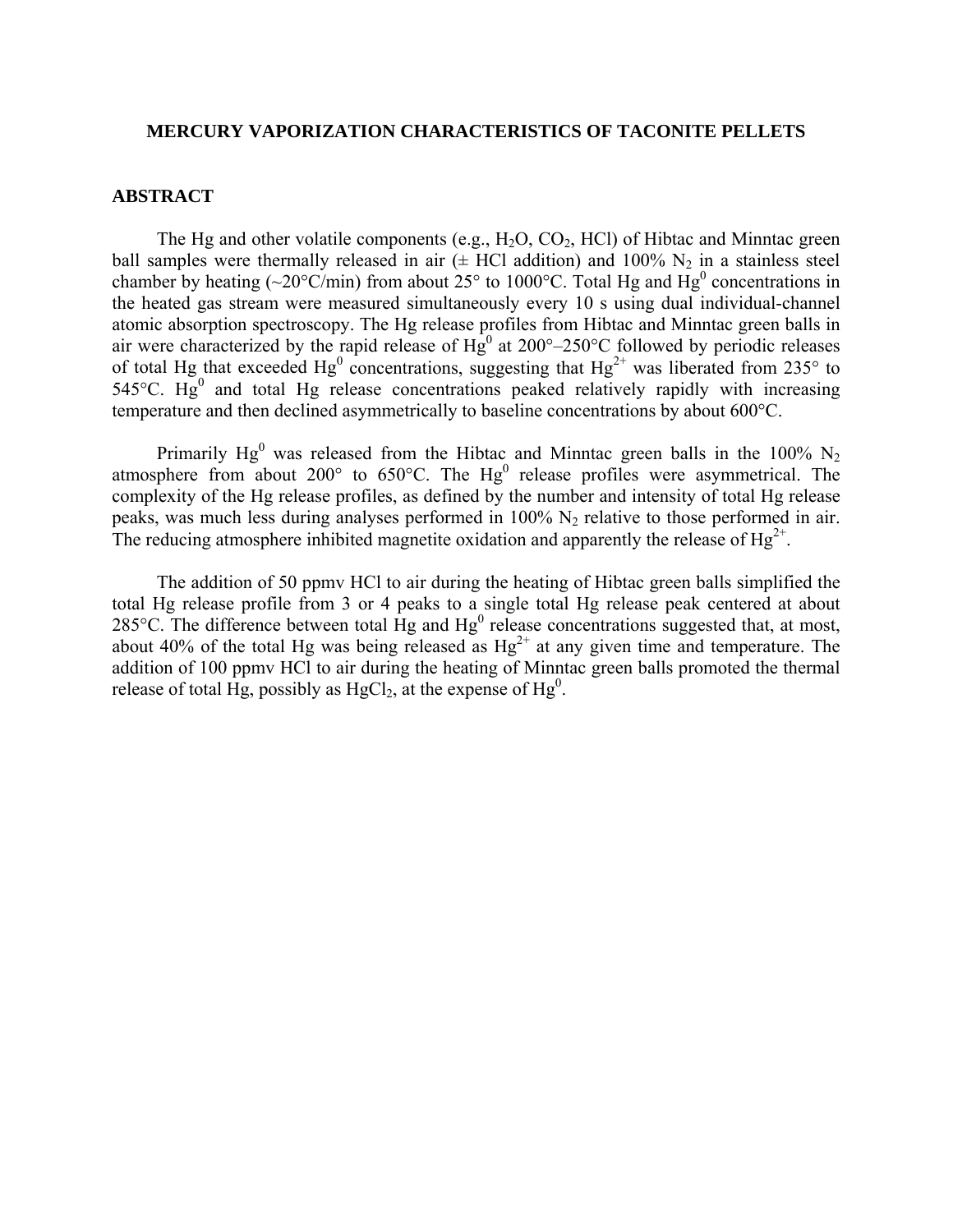#### **MERCURY VAPORIZATION CHARACTERISTICS OF TACONITE PELLETS**

### **ABSTRACT**

The Hg and other volatile components (e.g.,  $H_2O$ ,  $CO_2$ ,  $HCl$ ) of Hibtac and Minntac green ball samples were thermally released in air  $(\pm \text{ HCl} \text{ addition})$  and 100% N<sub>2</sub> in a stainless steel chamber by heating (~20°C/min) from about  $25^{\circ}$  to 1000°C. Total Hg and Hg<sup>0</sup> concentrations in the heated gas stream were measured simultaneously every 10 s using dual individual-channel atomic absorption spectroscopy. The Hg release profiles from Hibtac and Minntac green balls in air were characterized by the rapid release of  $Hg^0$  at 200°–250°C followed by periodic releases of total Hg that exceeded  $Hg^0$  concentrations, suggesting that  $Hg^{2+}$  was liberated from 235° to  $545^{\circ}$ C. Hg<sup>0</sup> and total Hg release concentrations peaked relatively rapidly with increasing temperature and then declined asymmetrically to baseline concentrations by about 600°C.

Primarily Hg<sup>0</sup> was released from the Hibtac and Minntac green balls in the 100% N<sub>2</sub> atmosphere from about 200 $^{\circ}$  to 650 $^{\circ}$ C. The Hg<sup>0</sup> release profiles were asymmetrical. The complexity of the Hg release profiles, as defined by the number and intensity of total Hg release peaks, was much less during analyses performed in  $100\%$  N<sub>2</sub> relative to those performed in air. The reducing atmosphere inhibited magnetite oxidation and apparently the release of  $Hg^{2+}$ .

 The addition of 50 ppmv HCl to air during the heating of Hibtac green balls simplified the total Hg release profile from 3 or 4 peaks to a single total Hg release peak centered at about 285 $^{\circ}$ C. The difference between total Hg and Hg<sup>0</sup> release concentrations suggested that, at most, about 40% of the total Hg was being released as  $Hg^{2+}$  at any given time and temperature. The addition of 100 ppmv HCl to air during the heating of Minntac green balls promoted the thermal release of total Hg, possibly as  $HgCl<sub>2</sub>$ , at the expense of Hg<sup>0</sup>.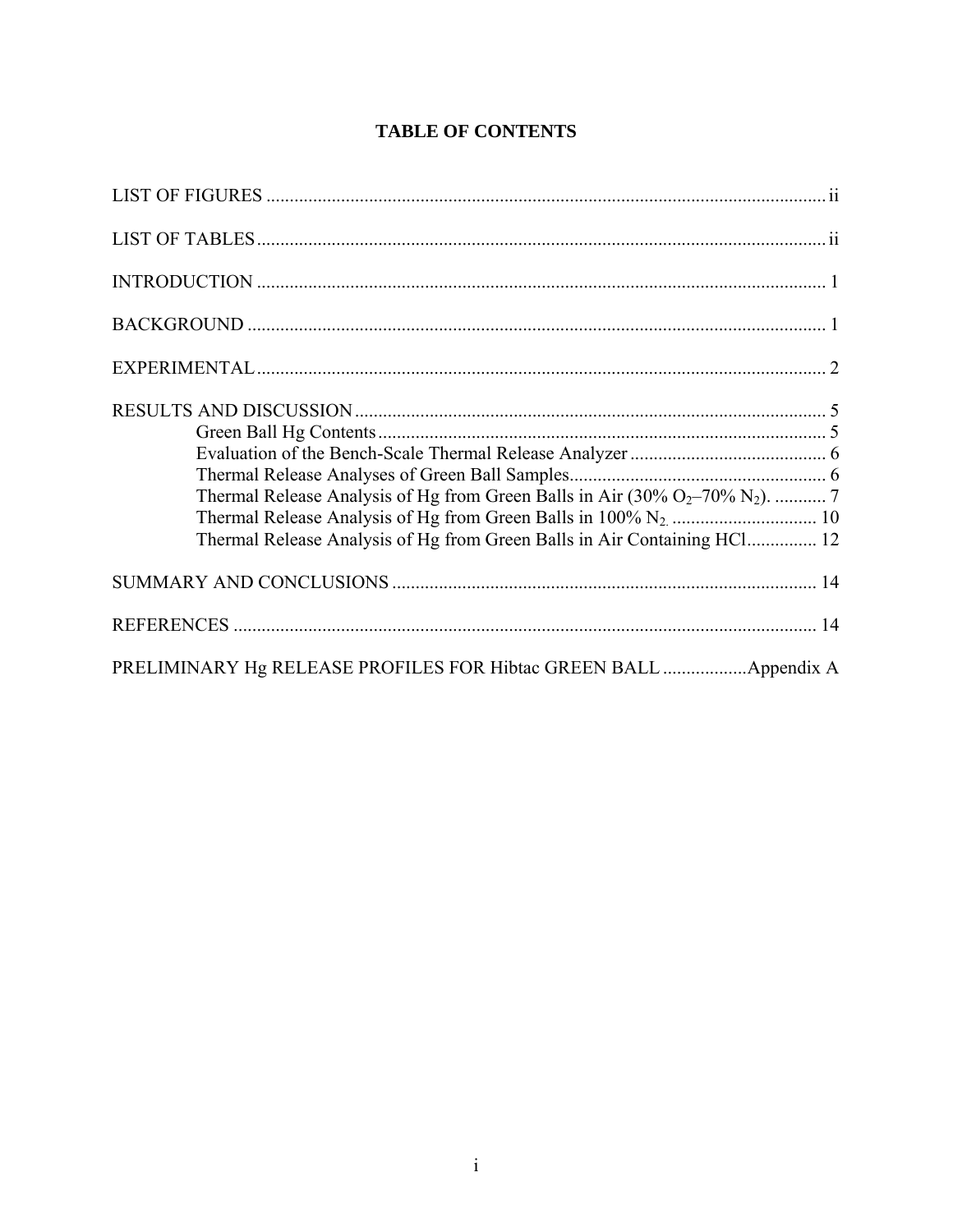|  | <b>TABLE OF CONTENTS</b> |
|--|--------------------------|
|--|--------------------------|

| Thermal Release Analysis of Hg from Green Balls in Air Containing HCl 12 |
|--------------------------------------------------------------------------|
|                                                                          |
|                                                                          |
| PRELIMINARY Hg RELEASE PROFILES FOR Hibtac GREEN BALL  Appendix A        |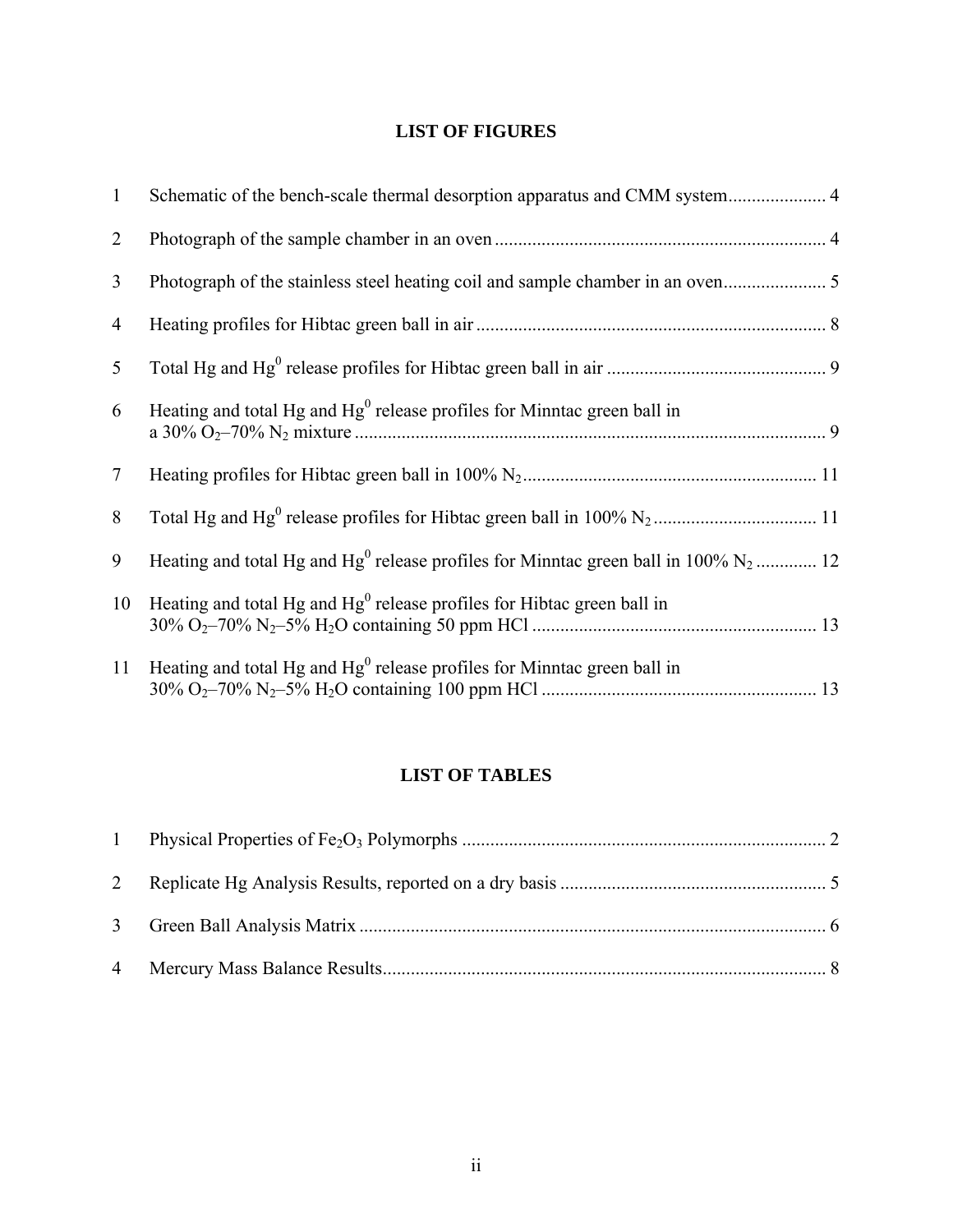# **LIST OF FIGURES**

| $\mathbf{1}$    | Schematic of the bench-scale thermal desorption apparatus and CMM system 4                        |  |
|-----------------|---------------------------------------------------------------------------------------------------|--|
| $\overline{2}$  |                                                                                                   |  |
| 3               |                                                                                                   |  |
| 4               |                                                                                                   |  |
| $5\overline{)}$ |                                                                                                   |  |
| 6               | Heating and total Hg and $Hg0$ release profiles for Minntac green ball in                         |  |
| $\tau$          |                                                                                                   |  |
| 8               |                                                                                                   |  |
| 9               | Heating and total Hg and Hg <sup>0</sup> release profiles for Minntac green ball in 100% $N_2$ 12 |  |
| 10              | Heating and total Hg and $Hg0$ release profiles for Hibtac green ball in                          |  |
| 11              | Heating and total Hg and $Hg0$ release profiles for Minntac green ball in                         |  |

# **LIST OF TABLES**

| $\mathbf{1}$ |  |
|--------------|--|
|              |  |
|              |  |
|              |  |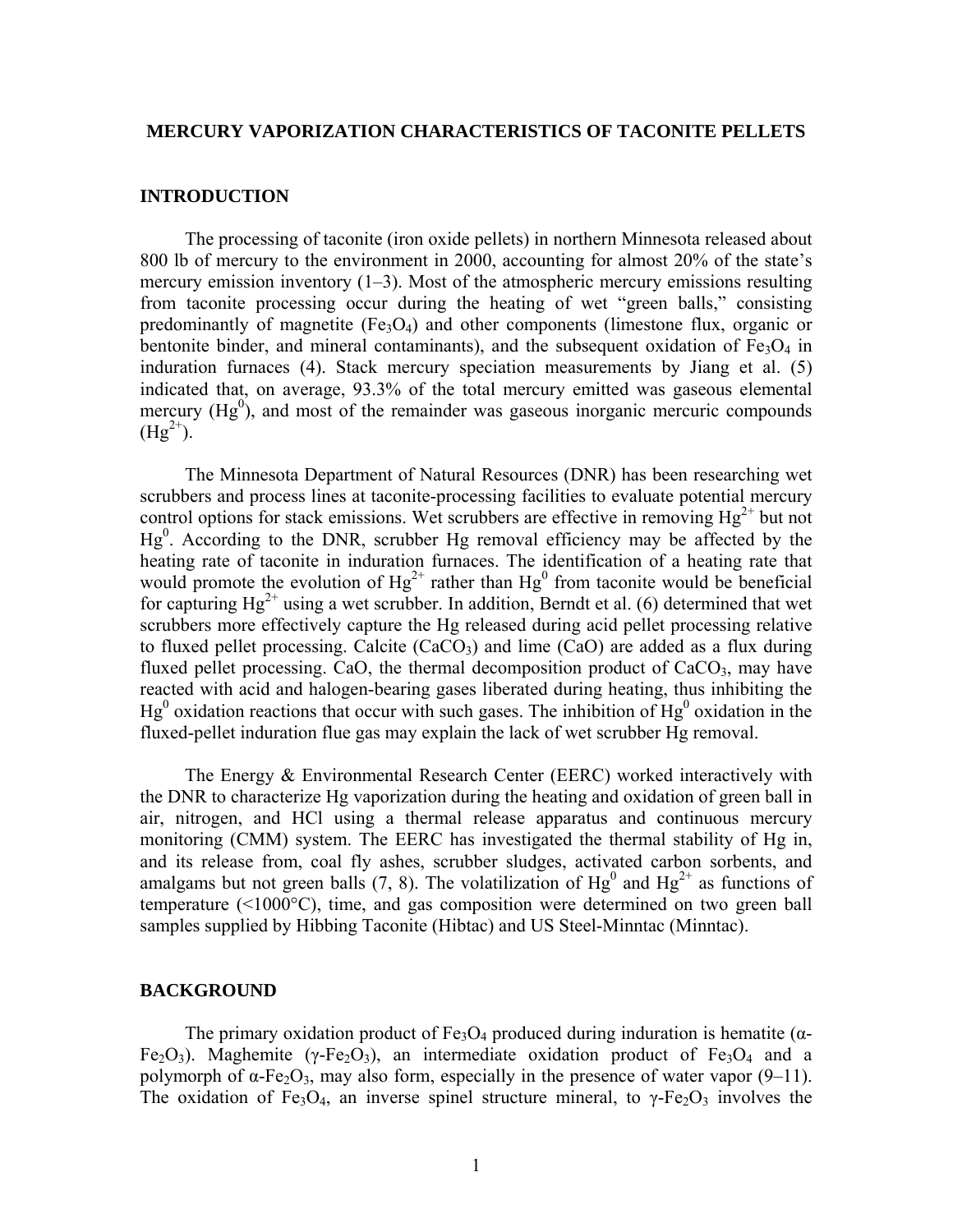#### **MERCURY VAPORIZATION CHARACTERISTICS OF TACONITE PELLETS**

#### **INTRODUCTION**

 The processing of taconite (iron oxide pellets) in northern Minnesota released about 800 lb of mercury to the environment in 2000, accounting for almost 20% of the state's mercury emission inventory (1–3). Most of the atmospheric mercury emissions resulting from taconite processing occur during the heating of wet "green balls," consisting predominantly of magnetite  $(Fe_3O_4)$  and other components (limestone flux, organic or bentonite binder, and mineral contaminants), and the subsequent oxidation of  $Fe<sub>3</sub>O<sub>4</sub>$  in induration furnaces (4). Stack mercury speciation measurements by Jiang et al. (5) indicated that, on average, 93.3% of the total mercury emitted was gaseous elemental mercury  $(Hg<sup>0</sup>)$ , and most of the remainder was gaseous inorganic mercuric compounds  $(Hg^{2+})$ .

 The Minnesota Department of Natural Resources (DNR) has been researching wet scrubbers and process lines at taconite-processing facilities to evaluate potential mercury control options for stack emissions. Wet scrubbers are effective in removing  $Hg^{2+}$  but not  $Hg<sup>0</sup>$ . According to the DNR, scrubber Hg removal efficiency may be affected by the heating rate of taconite in induration furnaces. The identification of a heating rate that would promote the evolution of  $Hg^{2+}$  rather than  $Hg^{0}$  from taconite would be beneficial for capturing  $Hg^{2+}$  using a wet scrubber. In addition, Berndt et al. (6) determined that wet scrubbers more effectively capture the Hg released during acid pellet processing relative to fluxed pellet processing. Calcite  $(CaCO<sub>3</sub>)$  and lime  $(CaO)$  are added as a flux during fluxed pellet processing. CaO, the thermal decomposition product of  $CaCO<sub>3</sub>$ , may have reacted with acid and halogen-bearing gases liberated during heating, thus inhibiting the  $Hg<sup>0</sup>$  oxidation reactions that occur with such gases. The inhibition of  $Hg<sup>0</sup>$  oxidation in the fluxed-pellet induration flue gas may explain the lack of wet scrubber Hg removal.

 The Energy & Environmental Research Center (EERC) worked interactively with the DNR to characterize Hg vaporization during the heating and oxidation of green ball in air, nitrogen, and HCl using a thermal release apparatus and continuous mercury monitoring (CMM) system. The EERC has investigated the thermal stability of Hg in, and its release from, coal fly ashes, scrubber sludges, activated carbon sorbents, and amalgams but not green balls (7, 8). The volatilization of  $Hg^0$  and  $Hg^{2+}$  as functions of temperature (<1000°C), time, and gas composition were determined on two green ball samples supplied by Hibbing Taconite (Hibtac) and US Steel-Minntac (Minntac).

#### **BACKGROUND**

The primary oxidation product of Fe<sub>3</sub>O<sub>4</sub> produced during induration is hematite ( $\alpha$ -Fe<sub>2</sub>O<sub>3</sub>). Maghemite (γ-Fe<sub>2</sub>O<sub>3</sub>), an intermediate oxidation product of Fe<sub>3</sub>O<sub>4</sub> and a polymorph of  $\alpha$ -Fe<sub>2</sub>O<sub>3</sub>, may also form, especially in the presence of water vapor (9–11). The oxidation of Fe<sub>3</sub>O<sub>4</sub>, an inverse spinel structure mineral, to γ-Fe<sub>2</sub>O<sub>3</sub> involves the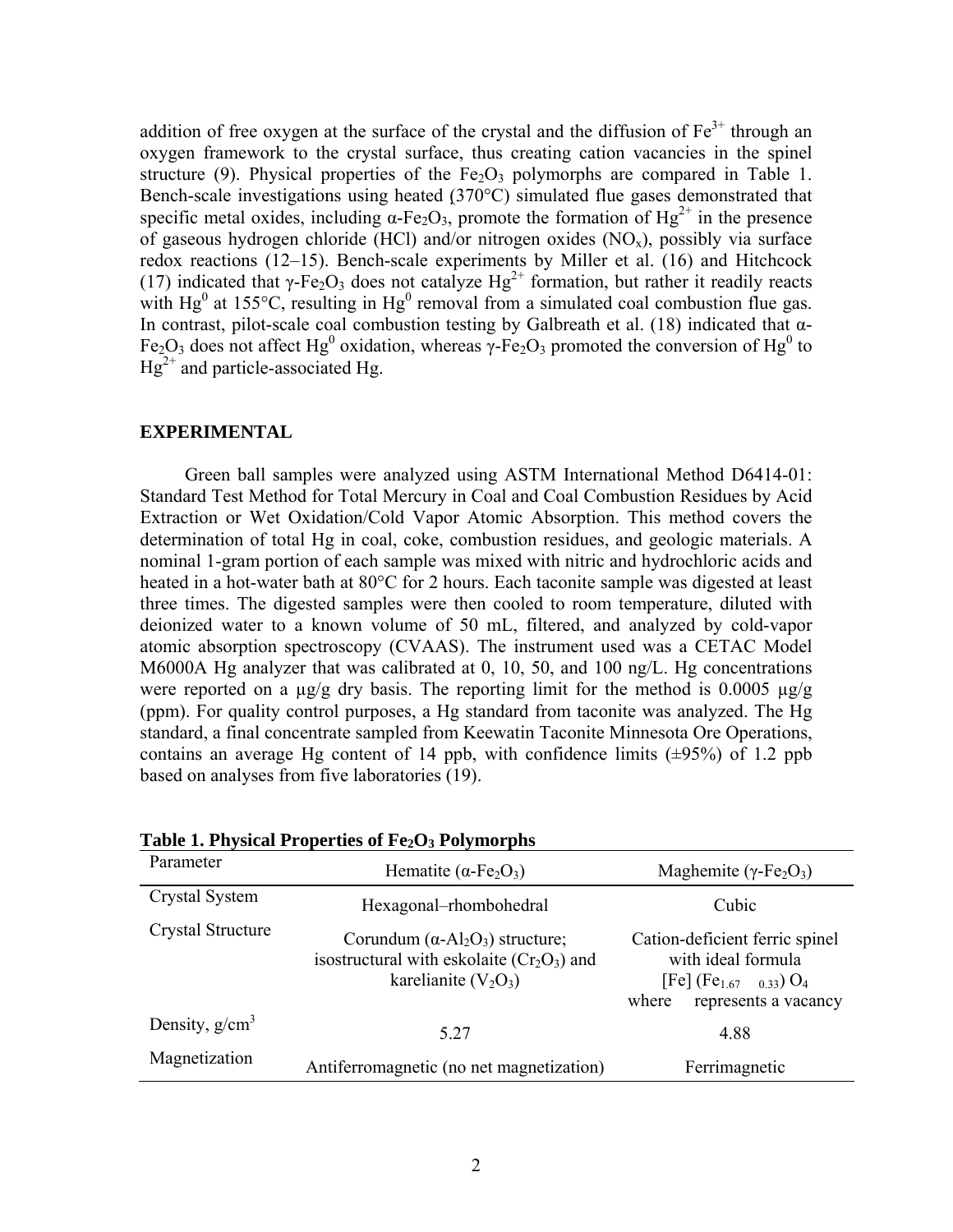addition of free oxygen at the surface of the crystal and the diffusion of  $Fe<sup>3+</sup>$  through an oxygen framework to the crystal surface, thus creating cation vacancies in the spinel structure (9). Physical properties of the  $Fe<sub>2</sub>O<sub>3</sub>$  polymorphs are compared in Table 1. Bench-scale investigations using heated (370°C) simulated flue gases demonstrated that specific metal oxides, including  $\alpha$ -Fe<sub>2</sub>O<sub>3</sub>, promote the formation of Hg<sup>2+</sup> in the presence of gaseous hydrogen chloride (HCl) and/or nitrogen oxides  $(NO<sub>x</sub>)$ , possibly via surface redox reactions (12–15). Bench-scale experiments by Miller et al. (16) and Hitchcock (17) indicated that  $\gamma$ -Fe<sub>2</sub>O<sub>3</sub> does not catalyze Hg<sup>2+</sup> formation, but rather it readily reacts with Hg<sup>0</sup> at 155°C, resulting in Hg<sup>0</sup> removal from a simulated coal combustion flue gas. In contrast, pilot-scale coal combustion testing by Galbreath et al. (18) indicated that  $\alpha$ -Fe<sub>2</sub>O<sub>3</sub> does not affect Hg<sup>0</sup> oxidation, whereas γ-Fe<sub>2</sub>O<sub>3</sub> promoted the conversion of Hg<sup>0</sup> to  $Hg^{2+}$  and particle-associated Hg.

## **EXPERIMENTAL**

 Green ball samples were analyzed using ASTM International Method D6414-01: Standard Test Method for Total Mercury in Coal and Coal Combustion Residues by Acid Extraction or Wet Oxidation/Cold Vapor Atomic Absorption. This method covers the determination of total Hg in coal, coke, combustion residues, and geologic materials. A nominal 1-gram portion of each sample was mixed with nitric and hydrochloric acids and heated in a hot-water bath at 80°C for 2 hours. Each taconite sample was digested at least three times. The digested samples were then cooled to room temperature, diluted with deionized water to a known volume of 50 mL, filtered, and analyzed by cold-vapor atomic absorption spectroscopy (CVAAS). The instrument used was a CETAC Model M6000A Hg analyzer that was calibrated at 0, 10, 50, and 100 ng/L. Hg concentrations were reported on a  $\mu$ g/g dry basis. The reporting limit for the method is 0.0005  $\mu$ g/g (ppm). For quality control purposes, a Hg standard from taconite was analyzed. The Hg standard, a final concentrate sampled from Keewatin Taconite Minnesota Ore Operations, contains an average Hg content of 14 ppb, with confidence limits  $(\pm 95\%)$  of 1.2 ppb based on analyses from five laboratories (19).

| Parameter         | Hematite ( $\alpha$ -Fe <sub>2</sub> O <sub>3</sub> )                                                              | Maghemite ( $\gamma$ -Fe <sub>2</sub> O <sub>3</sub> )                                                                       |  |
|-------------------|--------------------------------------------------------------------------------------------------------------------|------------------------------------------------------------------------------------------------------------------------------|--|
| Crystal System    | Hexagonal-rhombohedral                                                                                             | Cubic                                                                                                                        |  |
| Crystal Structure | Corundum $(\alpha - Al_2O_3)$ structure;<br>isostructural with eskolaite $(Cr_2O_3)$ and<br>karelianite $(V_2O_3)$ | Cation-deficient ferric spinel<br>with ideal formula<br>$[Fe] (Fe1.67$ 0.33) O <sub>4</sub><br>represents a vacancy<br>where |  |
| Density, $g/cm3$  | 5 2 7                                                                                                              | 4.88                                                                                                                         |  |
| Magnetization     | Antiferromagnetic (no net magnetization)                                                                           | Ferrimagnetic                                                                                                                |  |

Table 1. Physical Properties of Fe<sub>2</sub>O<sub>3</sub> Polymorphs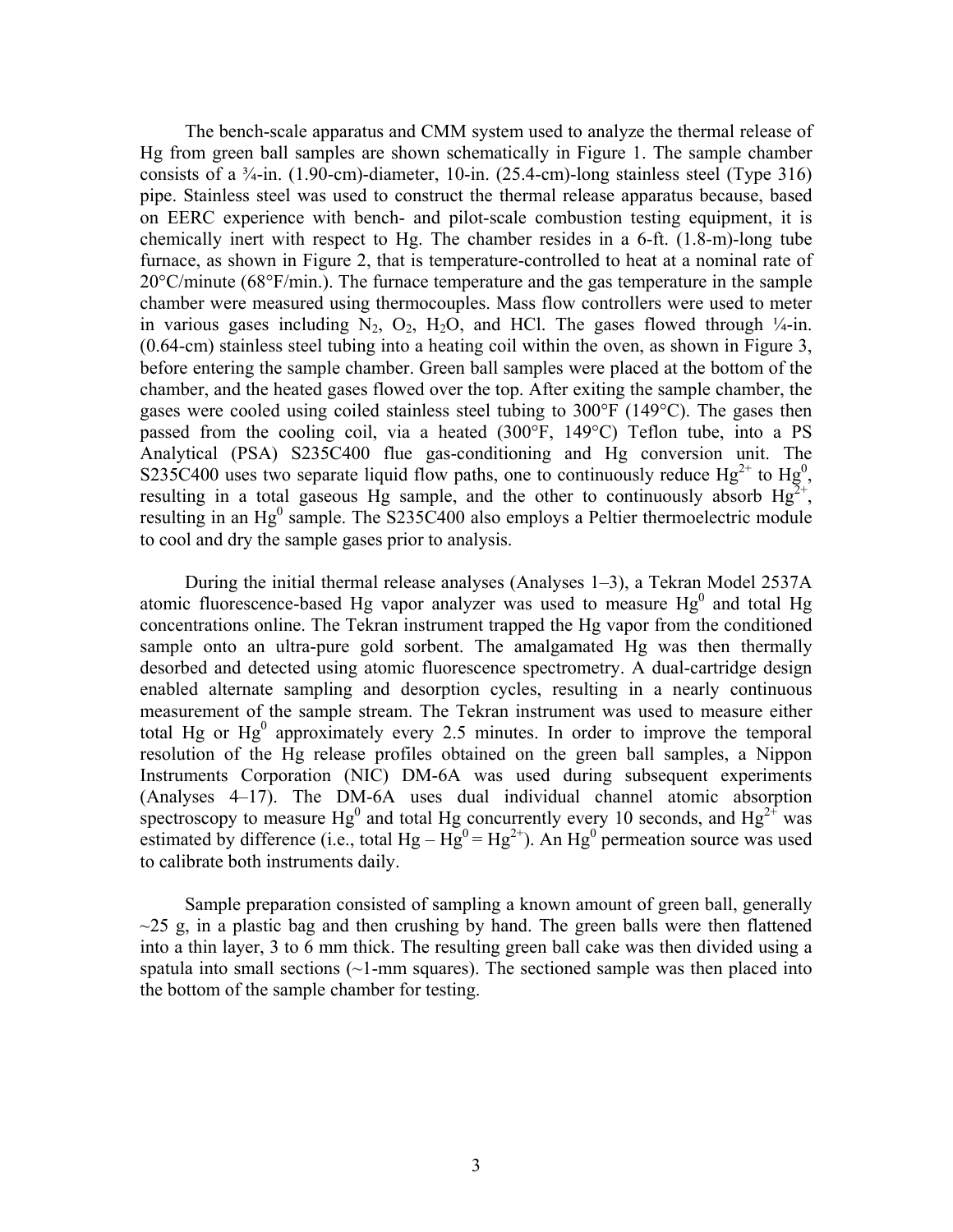The bench-scale apparatus and CMM system used to analyze the thermal release of Hg from green ball samples are shown schematically in Figure 1. The sample chamber consists of a  $\frac{3}{4}$ -in. (1.90-cm)-diameter, 10-in. (25.4-cm)-long stainless steel (Type 316) pipe. Stainless steel was used to construct the thermal release apparatus because, based on EERC experience with bench- and pilot-scale combustion testing equipment, it is chemically inert with respect to Hg. The chamber resides in a 6-ft. (1.8-m)-long tube furnace, as shown in Figure 2, that is temperature-controlled to heat at a nominal rate of 20°C/minute (68°F/min.). The furnace temperature and the gas temperature in the sample chamber were measured using thermocouples. Mass flow controllers were used to meter in various gases including  $N_2$ ,  $O_2$ ,  $H_2O$ , and HCl. The gases flowed through  $\frac{1}{4}$ -in. (0.64-cm) stainless steel tubing into a heating coil within the oven, as shown in Figure 3, before entering the sample chamber. Green ball samples were placed at the bottom of the chamber, and the heated gases flowed over the top. After exiting the sample chamber, the gases were cooled using coiled stainless steel tubing to 300°F (149°C). The gases then passed from the cooling coil, via a heated (300°F, 149°C) Teflon tube, into a PS Analytical (PSA) S235C400 flue gas-conditioning and Hg conversion unit. The S235C400 uses two separate liquid flow paths, one to continuously reduce  $Hg^{2+}$  to  $Hg^{0}$ , resulting in a total gaseous Hg sample, and the other to continuously absorb  $Hg^{2+}$ , resulting in an  $Hg^0$  sample. The S235C400 also employs a Peltier thermoelectric module to cool and dry the sample gases prior to analysis.

 During the initial thermal release analyses (Analyses 1–3), a Tekran Model 2537A atomic fluorescence-based Hg vapor analyzer was used to measure  $Hg^0$  and total Hg concentrations online. The Tekran instrument trapped the Hg vapor from the conditioned sample onto an ultra-pure gold sorbent. The amalgamated Hg was then thermally desorbed and detected using atomic fluorescence spectrometry. A dual-cartridge design enabled alternate sampling and desorption cycles, resulting in a nearly continuous measurement of the sample stream. The Tekran instrument was used to measure either total Hg or  $Hg^0$  approximately every 2.5 minutes. In order to improve the temporal resolution of the Hg release profiles obtained on the green ball samples, a Nippon Instruments Corporation (NIC) DM-6A was used during subsequent experiments (Analyses 4–17). The DM-6A uses dual individual channel atomic absorption spectroscopy to measure Hg<sup>0</sup> and total Hg concurrently every 10 seconds, and Hg<sup>2+</sup> was estimated by difference (i.e., total  $Hg - Hg^{0} = Hg^{2+}$ ). An  $Hg^{0}$  permeation source was used to calibrate both instruments daily.

 Sample preparation consisted of sampling a known amount of green ball, generally  $\approx$  25 g, in a plastic bag and then crushing by hand. The green balls were then flattened into a thin layer, 3 to 6 mm thick. The resulting green ball cake was then divided using a spatula into small sections  $(-1)$ -mm squares). The sectioned sample was then placed into the bottom of the sample chamber for testing.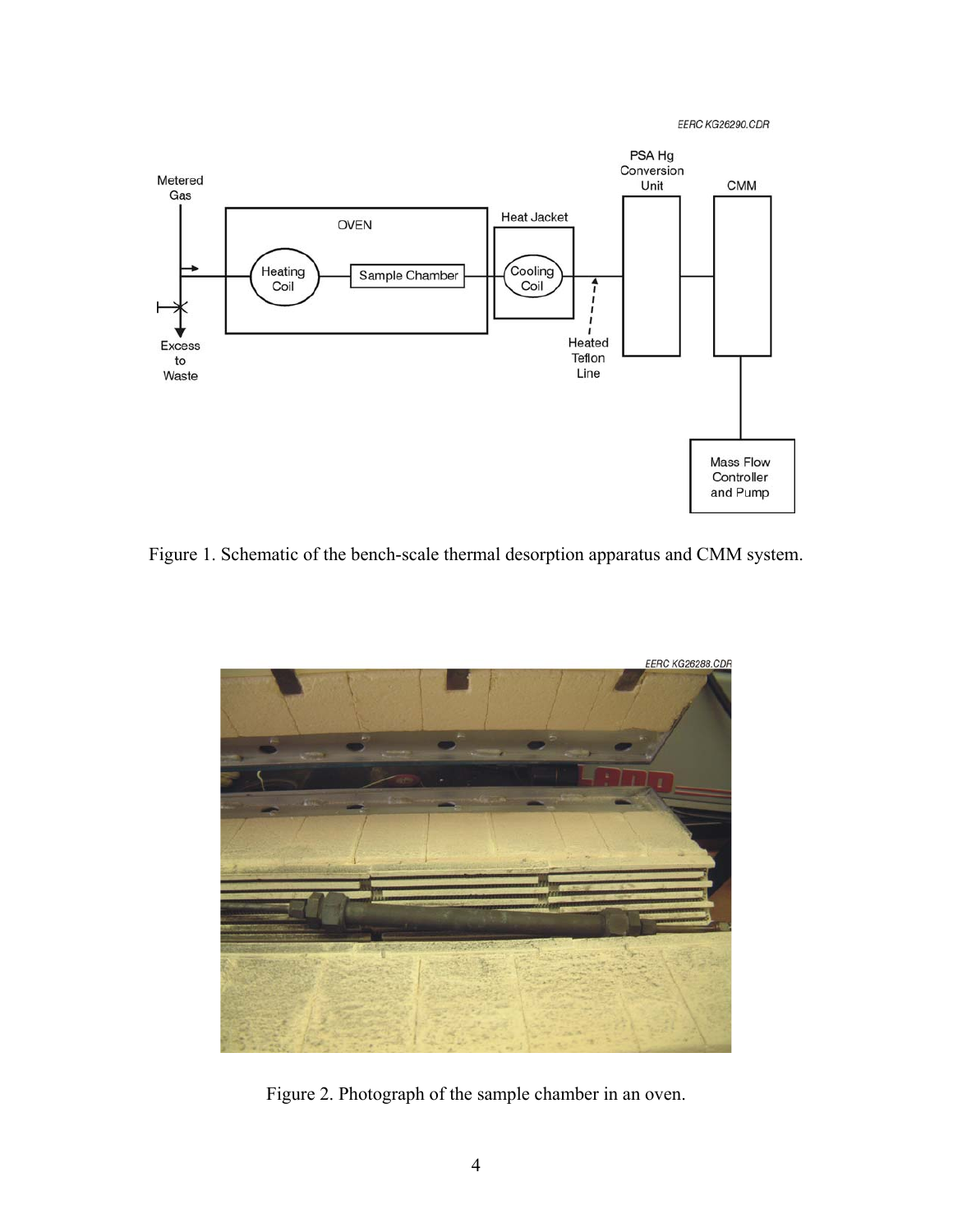EERC KG26290.CDR



Figure 1. Schematic of the bench-scale thermal desorption apparatus and CMM system.



Figure 2. Photograph of the sample chamber in an oven.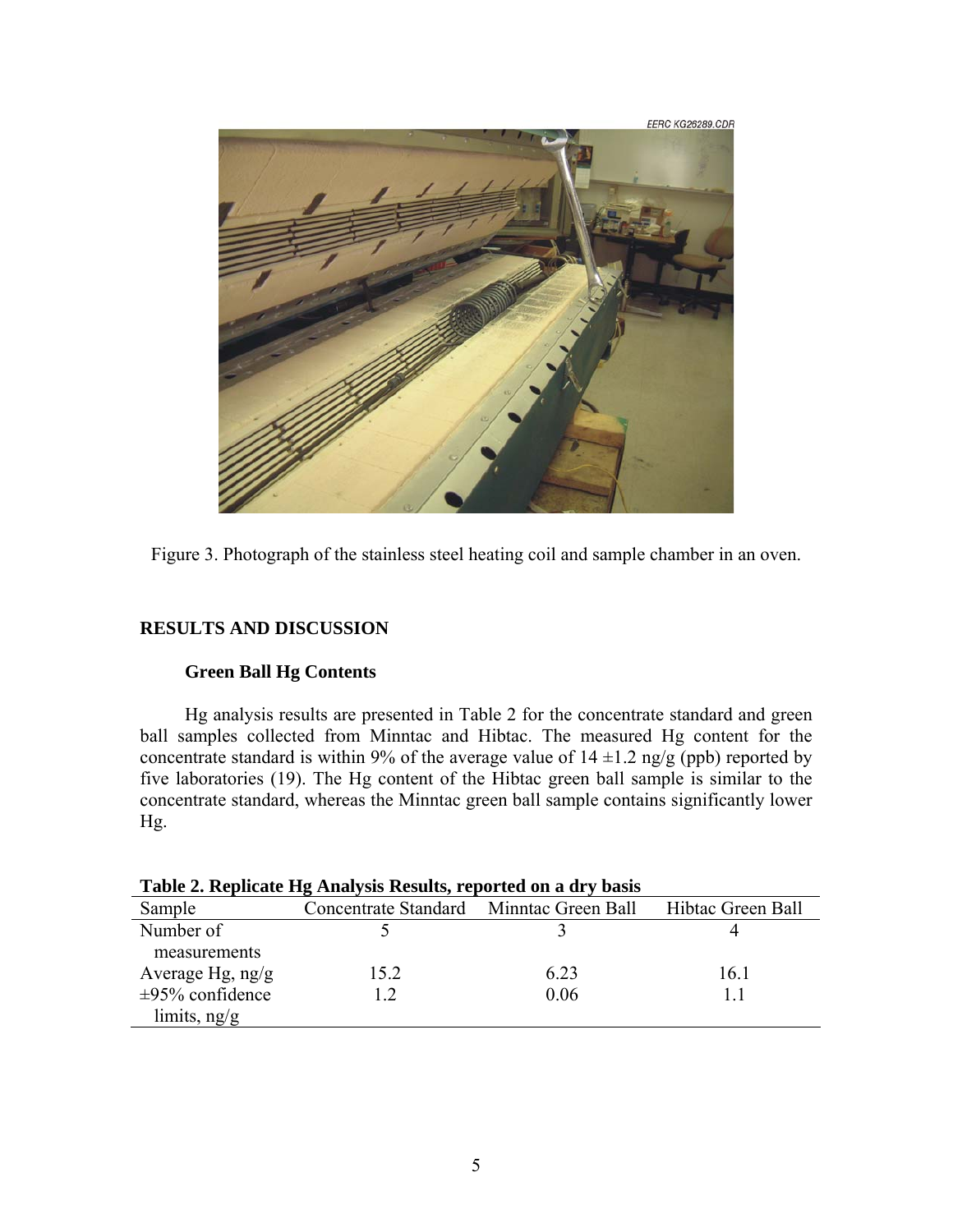



# **RESULTS AND DISCUSSION**

# **Green Ball Hg Contents**

Hg analysis results are presented in Table 2 for the concentrate standard and green ball samples collected from Minntac and Hibtac. The measured Hg content for the concentrate standard is within 9% of the average value of  $14 \pm 1.2$  ng/g (ppb) reported by five laboratories (19). The Hg content of the Hibtac green ball sample is similar to the concentrate standard, whereas the Minntac green ball sample contains significantly lower Hg.

| Table 2. Replicate Hg Analysis Results, reported on a dry basis |                                         |      |                   |  |  |  |
|-----------------------------------------------------------------|-----------------------------------------|------|-------------------|--|--|--|
| Sample                                                          | Concentrate Standard Minntac Green Ball |      | Hibtac Green Ball |  |  |  |
| Number of                                                       |                                         |      |                   |  |  |  |
| measurements                                                    |                                         |      |                   |  |  |  |
| Average Hg, $ng/g$                                              | 15.2                                    | 6.23 | 16.1              |  |  |  |
| $\pm 95\%$ confidence                                           | 12                                      | 0.06 |                   |  |  |  |
| limits, $ng/g$                                                  |                                         |      |                   |  |  |  |

| Table 2. Replicate Hg Analysis Results, reported on a dry basi |  |  |  |  |
|----------------------------------------------------------------|--|--|--|--|
|                                                                |  |  |  |  |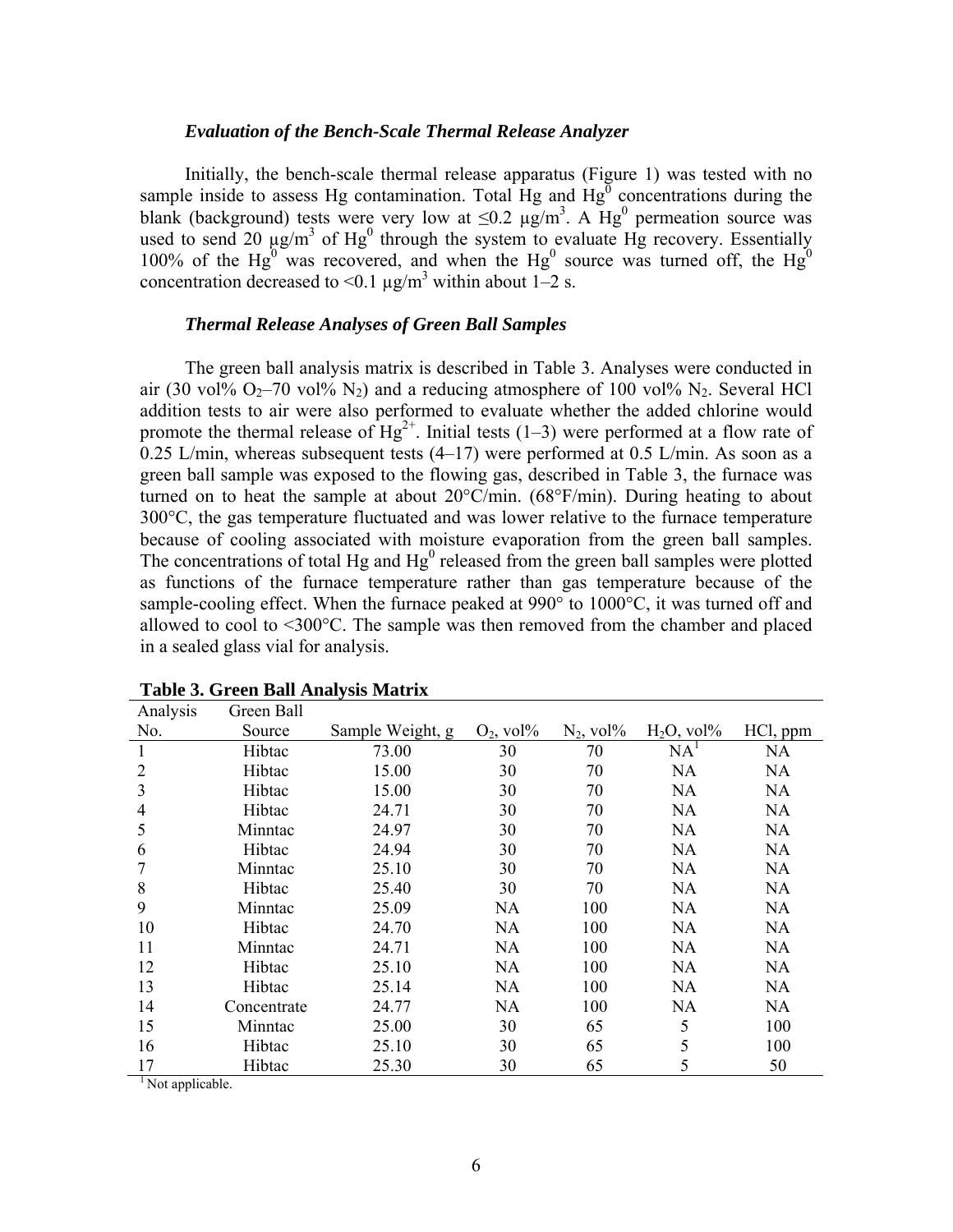#### *Evaluation of the Bench-Scale Thermal Release Analyzer*

 Initially, the bench-scale thermal release apparatus (Figure 1) was tested with no sample inside to assess Hg contamination. Total Hg and  $Hg^0$  concentrations during the blank (background) tests were very low at  $\leq 0.2 \mu g/m^3$ . A Hg<sup>0</sup> permeation source was used to send 20  $\mu$ g/m<sup>3</sup> of Hg<sup>0</sup> through the system to evaluate Hg recovery. Essentially 100% of the Hg<sup>0</sup> was recovered, and when the Hg<sup>0</sup> source was turned off, the Hg<sup>0</sup> concentration decreased to <0.1  $\mu$ g/m<sup>3</sup> within about 1–2 s.

## *Thermal Release Analyses of Green Ball Samples*

 The green ball analysis matrix is described in Table 3. Analyses were conducted in air (30 vol%  $O_2$ –70 vol% N<sub>2</sub>) and a reducing atmosphere of 100 vol% N<sub>2</sub>. Several HCl addition tests to air were also performed to evaluate whether the added chlorine would promote the thermal release of  $Hg^{2+}$ . Initial tests (1–3) were performed at a flow rate of  $0.25$  L/min, whereas subsequent tests (4–17) were performed at 0.5 L/min. As soon as a green ball sample was exposed to the flowing gas, described in Table 3, the furnace was turned on to heat the sample at about 20°C/min. (68°F/min). During heating to about 300°C, the gas temperature fluctuated and was lower relative to the furnace temperature because of cooling associated with moisture evaporation from the green ball samples. The concentrations of total Hg and  $Hg<sup>0</sup>$  released from the green ball samples were plotted as functions of the furnace temperature rather than gas temperature because of the sample-cooling effect. When the furnace peaked at 990° to 1000°C, it was turned off and allowed to cool to <300°C. The sample was then removed from the chamber and placed in a sealed glass vial for analysis.

| Analysis | Green Ball  |                  |                                        |                                        |                                         |           |
|----------|-------------|------------------|----------------------------------------|----------------------------------------|-----------------------------------------|-----------|
| No.      | Source      | Sample Weight, g | $O_2$ , vol <sup><math>\%</math></sup> | $N_2$ , vol <sup><math>\%</math></sup> | $H_2O$ , vol <sup><math>\%</math></sup> | HCl, ppm  |
| 1        | Hibtac      | 73.00            | 30                                     | 70                                     | NA <sup>1</sup>                         | NA        |
| 2        | Hibtac      | 15.00            | 30                                     | 70                                     | <b>NA</b>                               | <b>NA</b> |
| 3        | Hibtac      | 15.00            | 30                                     | 70                                     | <b>NA</b>                               | <b>NA</b> |
| 4        | Hibtac      | 24.71            | 30                                     | 70                                     | <b>NA</b>                               | <b>NA</b> |
| 5        | Minntac     | 24.97            | 30                                     | 70                                     | <b>NA</b>                               | <b>NA</b> |
| 6        | Hibtac      | 24.94            | 30                                     | 70                                     | <b>NA</b>                               | <b>NA</b> |
|          | Minntac     | 25.10            | 30                                     | 70                                     | <b>NA</b>                               | NA        |
| 8        | Hibtac      | 25.40            | 30                                     | 70                                     | <b>NA</b>                               | <b>NA</b> |
| 9        | Minntac     | 25.09            | <b>NA</b>                              | 100                                    | <b>NA</b>                               | NA        |
| 10       | Hibtac      | 24.70            | <b>NA</b>                              | 100                                    | <b>NA</b>                               | <b>NA</b> |
| 11       | Minntac     | 24.71            | <b>NA</b>                              | 100                                    | <b>NA</b>                               | NA        |
| 12       | Hibtac      | 25.10            | NA                                     | 100                                    | NA                                      | NA        |
| 13       | Hibtac      | 25.14            | NA                                     | 100                                    | NA                                      | NA        |
| 14       | Concentrate | 24.77            | NA                                     | 100                                    | <b>NA</b>                               | NA        |
| 15       | Minntac     | 25.00            | 30                                     | 65                                     | 5                                       | 100       |
| 16       | Hibtac      | 25.10            | 30                                     | 65                                     | 5                                       | 100       |
| 17       | Hibtac      | 25.30            | 30                                     | 65                                     | 5                                       | 50        |

#### **Table 3. Green Ball Analysis Matrix**

<sup>1</sup> Not applicable.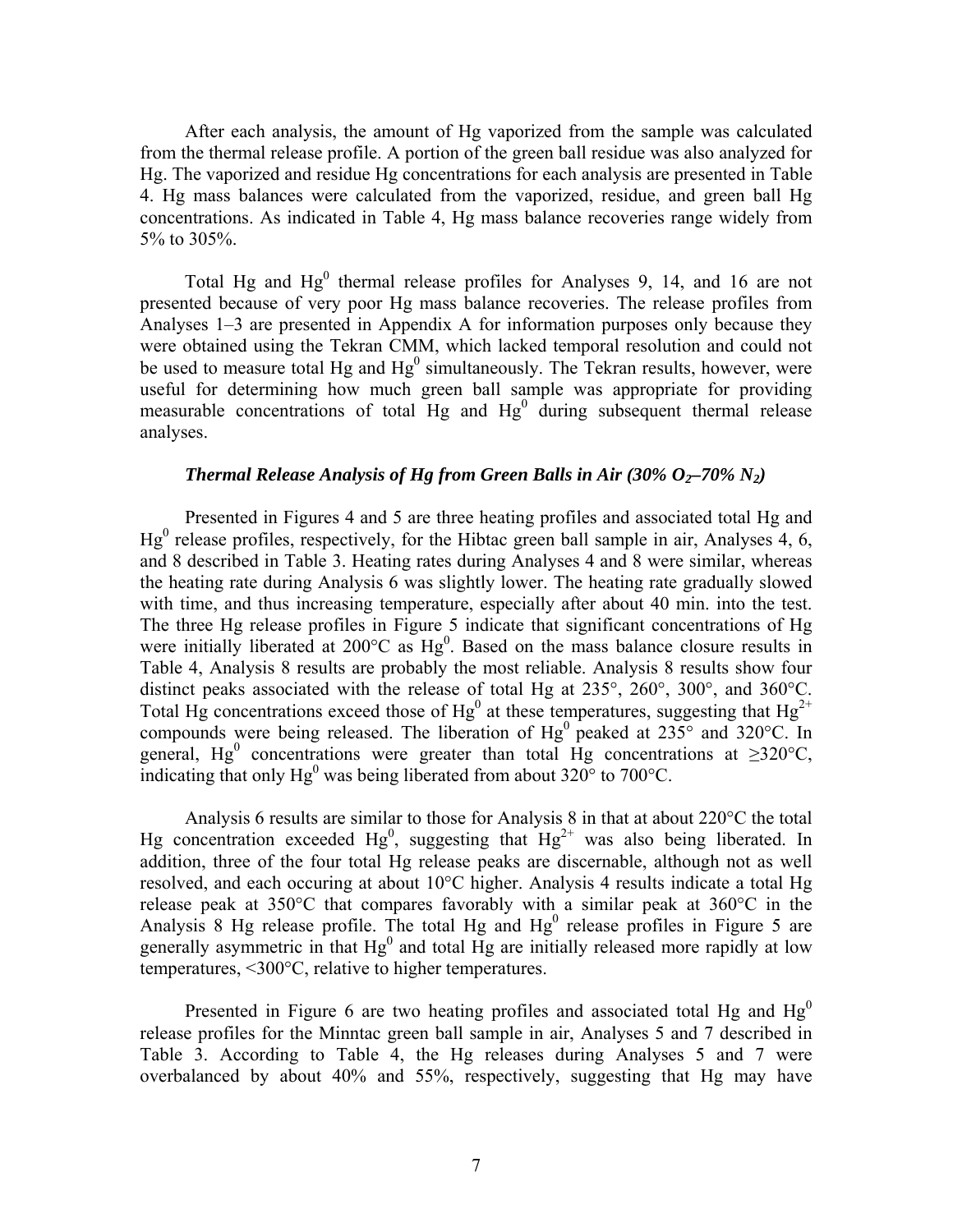After each analysis, the amount of Hg vaporized from the sample was calculated from the thermal release profile. A portion of the green ball residue was also analyzed for Hg. The vaporized and residue Hg concentrations for each analysis are presented in Table 4. Hg mass balances were calculated from the vaporized, residue, and green ball Hg concentrations. As indicated in Table 4, Hg mass balance recoveries range widely from 5% to 305%.

Total Hg and  $Hg^0$  thermal release profiles for Analyses 9, 14, and 16 are not presented because of very poor Hg mass balance recoveries. The release profiles from Analyses 1–3 are presented in Appendix A for information purposes only because they were obtained using the Tekran CMM, which lacked temporal resolution and could not be used to measure total Hg and  $Hg^0$  simultaneously. The Tekran results, however, were useful for determining how much green ball sample was appropriate for providing measurable concentrations of total  $Hg$  and  $Hg^0$  during subsequent thermal release analyses.

# *Thermal Release Analysis of Hg from Green Balls in Air (30%*  $O_2$ *–70% N<sub>2</sub>)*

Presented in Figures 4 and 5 are three heating profiles and associated total Hg and  $Hg<sup>0</sup>$  release profiles, respectively, for the Hibtac green ball sample in air, Analyses 4, 6, and 8 described in Table 3. Heating rates during Analyses 4 and 8 were similar, whereas the heating rate during Analysis 6 was slightly lower. The heating rate gradually slowed with time, and thus increasing temperature, especially after about 40 min. into the test. The three Hg release profiles in Figure 5 indicate that significant concentrations of Hg were initially liberated at  $200^{\circ}$ C as  $Hg^{0}$ . Based on the mass balance closure results in Table 4, Analysis 8 results are probably the most reliable. Analysis 8 results show four distinct peaks associated with the release of total Hg at 235°, 260°, 300°, and 360°C. Total Hg concentrations exceed those of Hg<sup>0</sup> at these temperatures, suggesting that Hg<sup>2+</sup> compounds were being released. The liberation of  $Hg^0$  peaked at 235 $\degree$  and 320 $\degree$ C. In general, Hg<sup>0</sup> concentrations were greater than total Hg concentrations at  $\geq 320^{\circ}$ C, indicating that only  $Hg^0$  was being liberated from about 320 $\degree$  to 700 $\degree$ C.

 Analysis 6 results are similar to those for Analysis 8 in that at about 220°C the total Hg concentration exceeded Hg<sup>0</sup>, suggesting that  $Hg^{2+}$  was also being liberated. In addition, three of the four total Hg release peaks are discernable, although not as well resolved, and each occuring at about 10°C higher. Analysis 4 results indicate a total Hg release peak at 350°C that compares favorably with a similar peak at 360°C in the Analysis 8 Hg release profile. The total Hg and  $Hg<sup>0</sup>$  release profiles in Figure 5 are generally asymmetric in that  $Hg^0$  and total  $Hg$  are initially released more rapidly at low temperatures, <300°C, relative to higher temperatures.

Presented in Figure 6 are two heating profiles and associated total Hg and  $Hg<sup>0</sup>$ release profiles for the Minntac green ball sample in air, Analyses 5 and 7 described in Table 3. According to Table 4, the Hg releases during Analyses 5 and 7 were overbalanced by about 40% and 55%, respectively, suggesting that Hg may have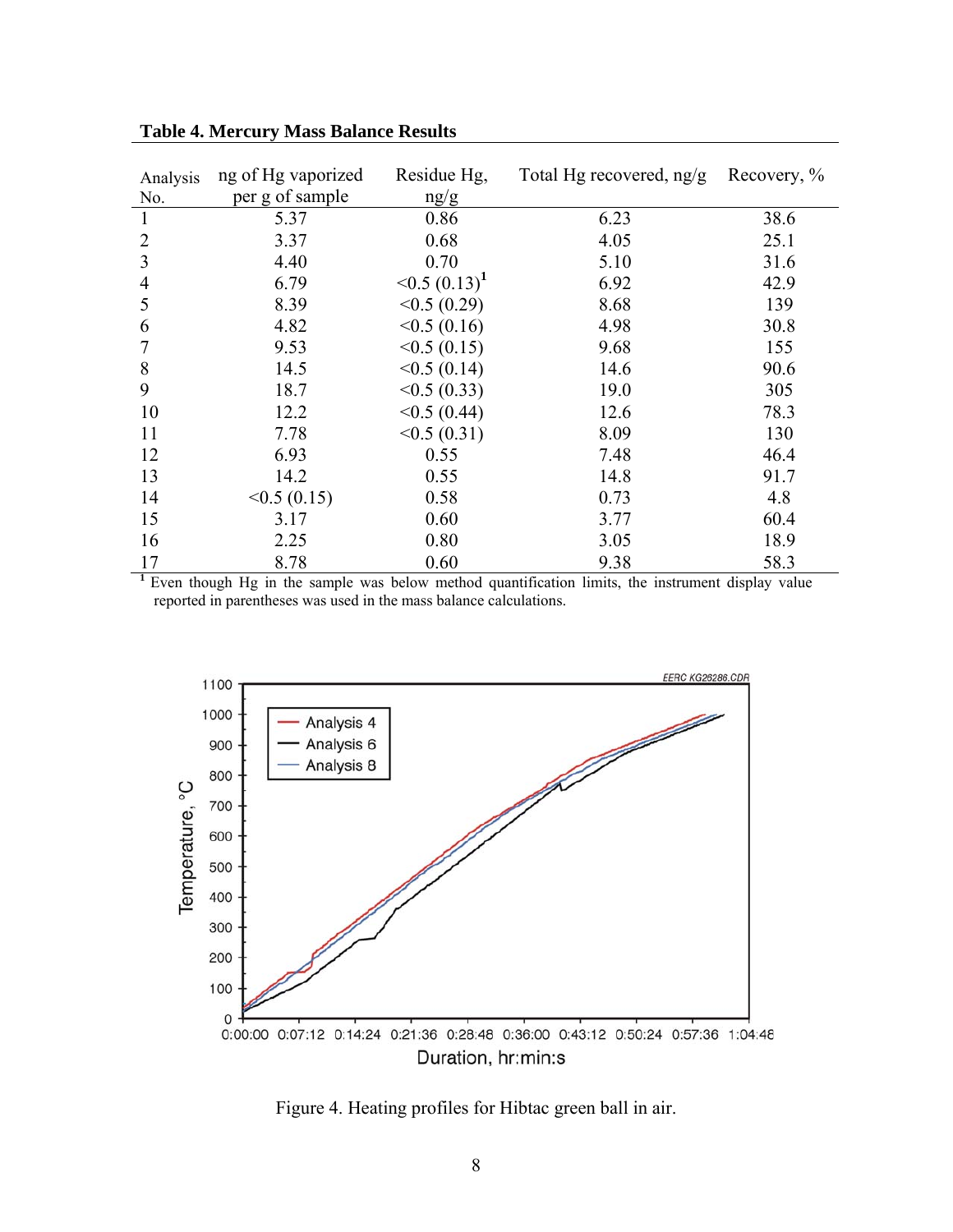| Analysis<br>No. | ng of Hg vaporized<br>per g of sample | Residue Hg,<br>ng/g            | Total Hg recovered, $ng/g$ | Recovery, % |
|-----------------|---------------------------------------|--------------------------------|----------------------------|-------------|
| 1               | 5.37                                  | 0.86                           | 6.23                       | 38.6        |
| 2               | 3.37                                  | 0.68                           | 4.05                       | 25.1        |
| 3               | 4.40                                  | 0.70                           | 5.10                       | 31.6        |
| 4               | 6.79                                  | $\leq 0.5$ (0.13) <sup>1</sup> | 6.92                       | 42.9        |
| 5               | 8.39                                  | <0.5(0.29)                     | 8.68                       | 139         |
| 6               | 4.82                                  | < 0.5(0.16)                    | 4.98                       | 30.8        |
| 7               | 9.53                                  | <0.5(0.15)                     | 9.68                       | 155         |
| 8               | 14.5                                  | < 0.5(0.14)                    | 14.6                       | 90.6        |
| 9               | 18.7                                  | <0.5(0.33)                     | 19.0                       | 305         |
| 10              | 12.2                                  | < 0.5(0.44)                    | 12.6                       | 78.3        |
| 11              | 7.78                                  | <0.5(0.31)                     | 8.09                       | 130         |
| 12              | 6.93                                  | 0.55                           | 7.48                       | 46.4        |
| 13              | 14.2                                  | 0.55                           | 14.8                       | 91.7        |
| 14              | <0.5(0.15)                            | 0.58                           | 0.73                       | 4.8         |
| 15              | 3.17                                  | 0.60                           | 3.77                       | 60.4        |
| 16              | 2.25                                  | 0.80                           | 3.05                       | 18.9        |
| 17              | 8.78                                  | 0.60                           | 9.38                       | 58.3        |

**Table 4. Mercury Mass Balance Results** 

<sup>1</sup> Even though Hg in the sample was below method quantification limits, the instrument display value reported in parentheses was used in the mass balance calculations.



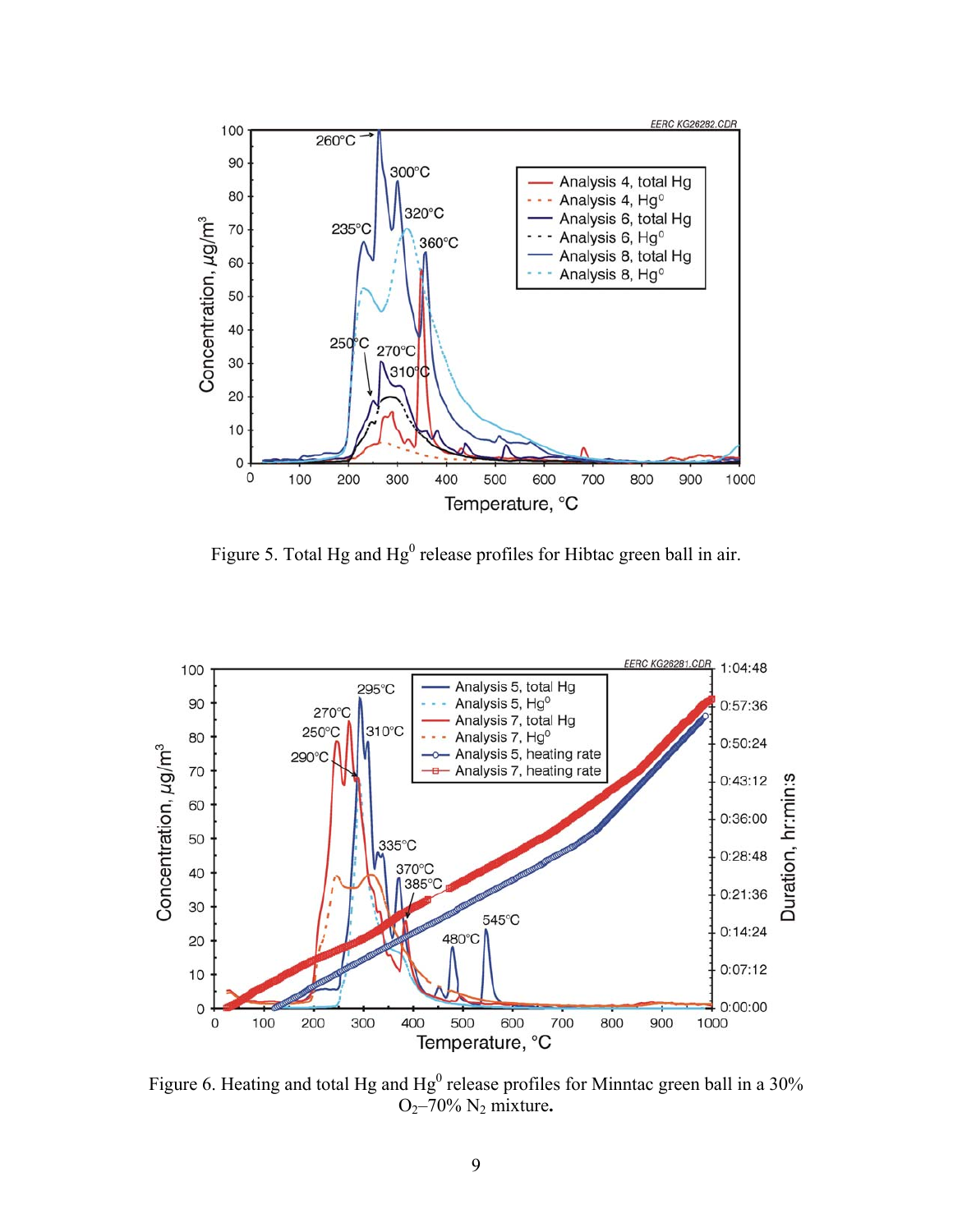

Figure 5. Total Hg and  $Hg^0$  release profiles for Hibtac green ball in air.



Figure 6. Heating and total Hg and  $Hg^0$  release profiles for Minntac green ball in a 30% O2–70% N2 mixture**.**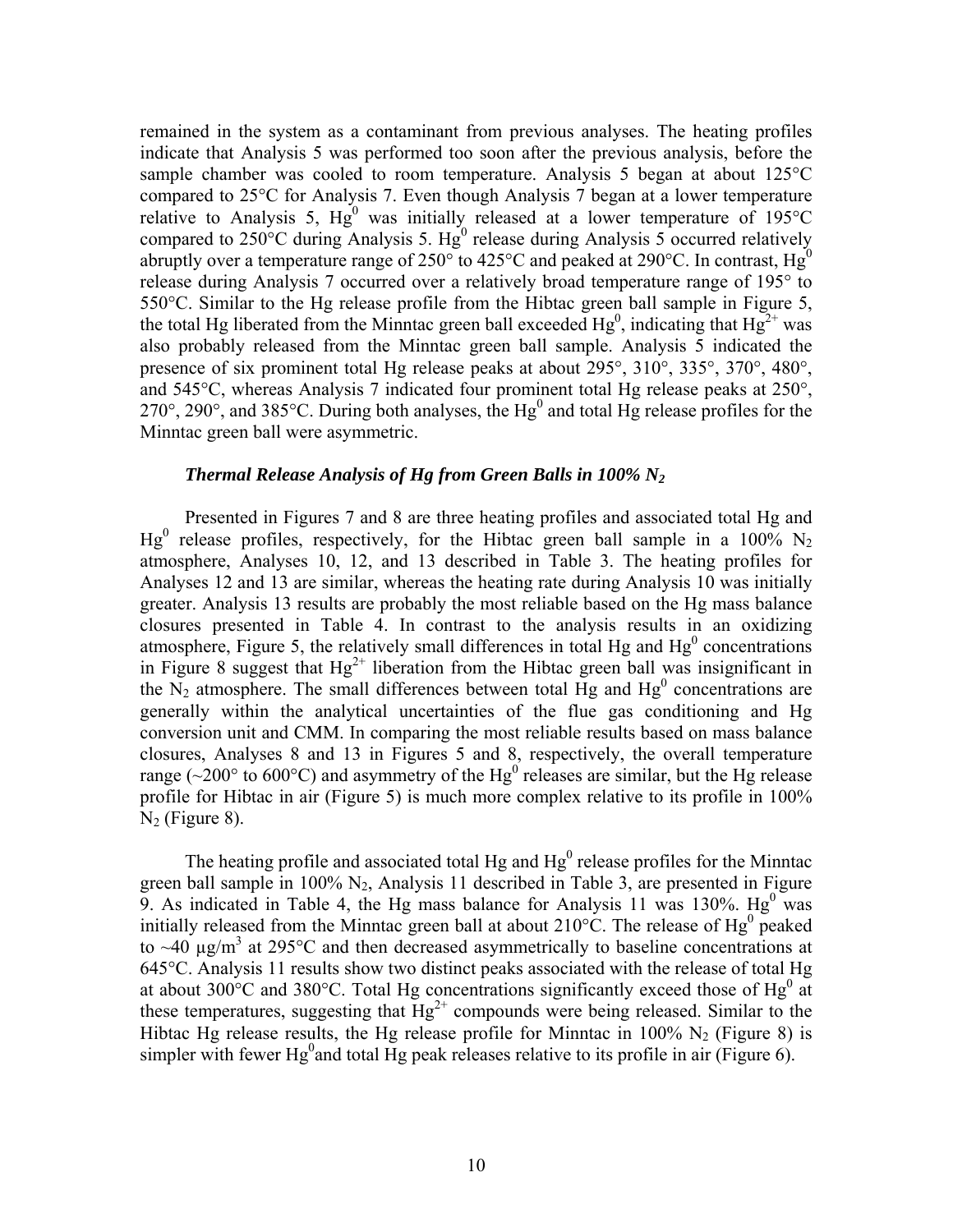remained in the system as a contaminant from previous analyses. The heating profiles indicate that Analysis 5 was performed too soon after the previous analysis, before the sample chamber was cooled to room temperature. Analysis 5 began at about 125°C compared to 25°C for Analysis 7. Even though Analysis 7 began at a lower temperature relative to Analysis 5,  $Hg^0$  was initially released at a lower temperature of 195°C compared to  $250^{\circ}$ C during Analysis 5. Hg<sup>0</sup> release during Analysis 5 occurred relatively abruptly over a temperature range of 250 $^{\circ}$  to 425 $^{\circ}$ C and peaked at 290 $^{\circ}$ C. In contrast, Hg<sup>0</sup> release during Analysis 7 occurred over a relatively broad temperature range of 195° to 550°C. Similar to the Hg release profile from the Hibtac green ball sample in Figure 5, the total Hg liberated from the Minntac green ball exceeded  $Hg^0$ , indicating that  $Hg^{2+}$  was also probably released from the Minntac green ball sample. Analysis 5 indicated the presence of six prominent total Hg release peaks at about 295°, 310°, 335°, 370°, 480°, and 545°C, whereas Analysis 7 indicated four prominent total Hg release peaks at 250°,  $270^{\circ}$ ,  $290^{\circ}$ , and  $385^{\circ}$ C. During both analyses, the Hg<sup>0</sup> and total Hg release profiles for the Minntac green ball were asymmetric.

## *Thermal Release Analysis of Hg from Green Balls in 100% N2*

Presented in Figures 7 and 8 are three heating profiles and associated total Hg and  $Hg^0$  release profiles, respectively, for the Hibtac green ball sample in a 100% N<sub>2</sub> atmosphere, Analyses 10, 12, and 13 described in Table 3. The heating profiles for Analyses 12 and 13 are similar, whereas the heating rate during Analysis 10 was initially greater. Analysis 13 results are probably the most reliable based on the Hg mass balance closures presented in Table 4. In contrast to the analysis results in an oxidizing atmosphere, Figure 5, the relatively small differences in total Hg and  $Hg<sup>0</sup>$  concentrations in Figure 8 suggest that  $Hg^{2+}$  liberation from the Hibtac green ball was insignificant in the  $N_2$  atmosphere. The small differences between total Hg and Hg<sup>0</sup> concentrations are generally within the analytical uncertainties of the flue gas conditioning and Hg conversion unit and CMM. In comparing the most reliable results based on mass balance closures, Analyses 8 and 13 in Figures 5 and 8, respectively, the overall temperature range ( $\sim$ 200 $\degree$  to 600 $\degree$ C) and asymmetry of the Hg<sup>0</sup> releases are similar, but the Hg release profile for Hibtac in air (Figure 5) is much more complex relative to its profile in 100%  $N_2$  (Figure 8).

The heating profile and associated total Hg and  $Hg<sup>0</sup>$  release profiles for the Minntac green ball sample in 100%  $N_2$ , Analysis 11 described in Table 3, are presented in Figure 9. As indicated in Table 4, the Hg mass balance for Analysis 11 was 130%.  $Hg^0$  was initially released from the Minntac green ball at about  $210^{\circ}$ C. The release of Hg<sup>0</sup> peaked to  $\sim$ 40  $\mu$ g/m<sup>3</sup> at 295°C and then decreased asymmetrically to baseline concentrations at 645°C. Analysis 11 results show two distinct peaks associated with the release of total Hg at about 300 $^{\circ}$ C and 380 $^{\circ}$ C. Total Hg concentrations significantly exceed those of Hg<sup>0</sup> at these temperatures, suggesting that  $\overline{H}g^{2+}$  compounds were being released. Similar to the Hibtac Hg release results, the Hg release profile for Minntac in 100%  $N_2$  (Figure 8) is simpler with fewer Hg<sup>0</sup> and total Hg peak releases relative to its profile in air (Figure 6).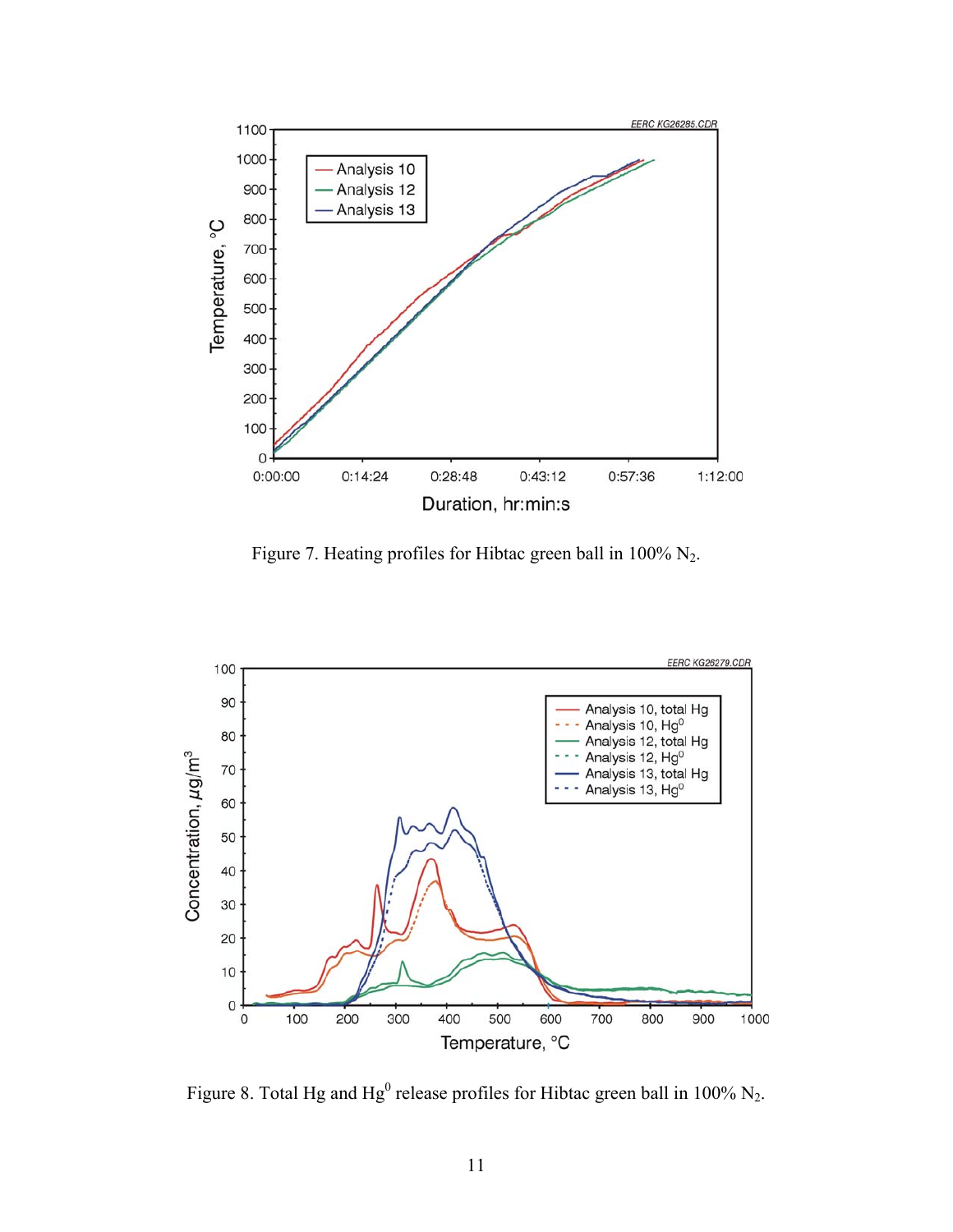

Figure 7. Heating profiles for Hibtac green ball in 100% N2.



Figure 8. Total Hg and Hg<sup>0</sup> release profiles for Hibtac green ball in 100%  $N_2$ .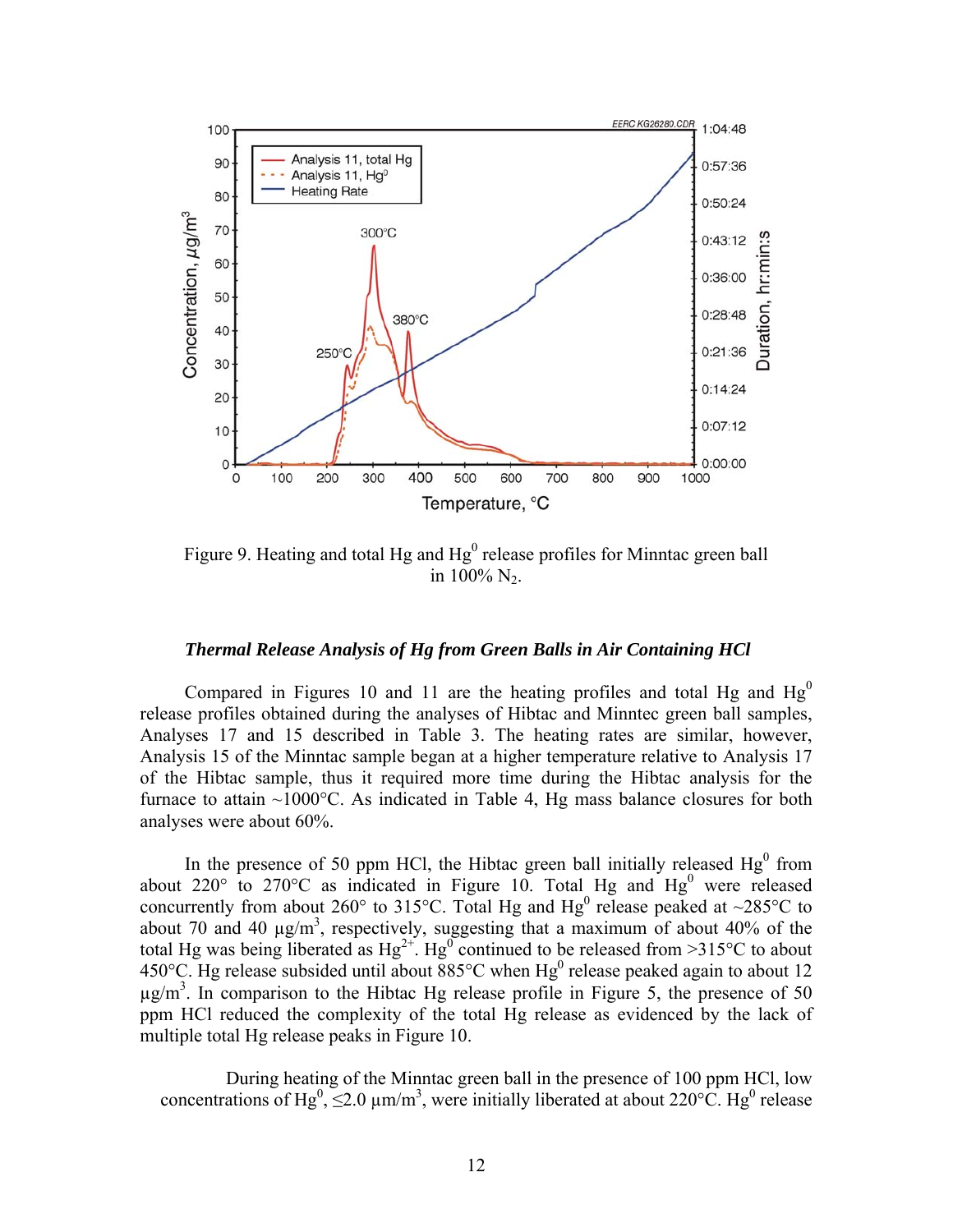

Figure 9. Heating and total Hg and  $Hg<sup>0</sup>$  release profiles for Minntac green ball in  $100\%$  N<sub>2</sub>.

### *Thermal Release Analysis of Hg from Green Balls in Air Containing HCl*

Compared in Figures 10 and 11 are the heating profiles and total Hg and  $Hg<sup>0</sup>$ release profiles obtained during the analyses of Hibtac and Minntec green ball samples, Analyses 17 and 15 described in Table 3. The heating rates are similar, however, Analysis 15 of the Minntac sample began at a higher temperature relative to Analysis 17 of the Hibtac sample, thus it required more time during the Hibtac analysis for the furnace to attain  $\sim 1000^{\circ}$ C. As indicated in Table 4, Hg mass balance closures for both analyses were about 60%.

In the presence of 50 ppm HCl, the Hibtac green ball initially released  $Hg<sup>0</sup>$  from about 220 $\degree$  to 270 $\degree$ C as indicated in Figure 10. Total Hg and Hg<sup>0</sup> were released concurrently from about 260° to 315°C. Total Hg and  $Hg^0$  release peaked at ~285°C to about 70 and 40  $\mu$ g/m<sup>3</sup>, respectively, suggesting that a maximum of about 40% of the total Hg was being liberated as  $Hg^{2+}$ .  $Hg^{0}$  continued to be released from >315°C to about 450°C. Hg release subsided until about  $885^{\circ}$ C when Hg<sup>0</sup> release peaked again to about 12  $\mu$ g/m<sup>3</sup>. In comparison to the Hibtac Hg release profile in Figure 5, the presence of 50 ppm HCl reduced the complexity of the total Hg release as evidenced by the lack of multiple total Hg release peaks in Figure 10.

 During heating of the Minntac green ball in the presence of 100 ppm HCl, low concentrations of Hg<sup>0</sup>,  $\leq$ 2.0  $\mu$ m/m<sup>3</sup>, were initially liberated at about 220°C. Hg<sup>0</sup> release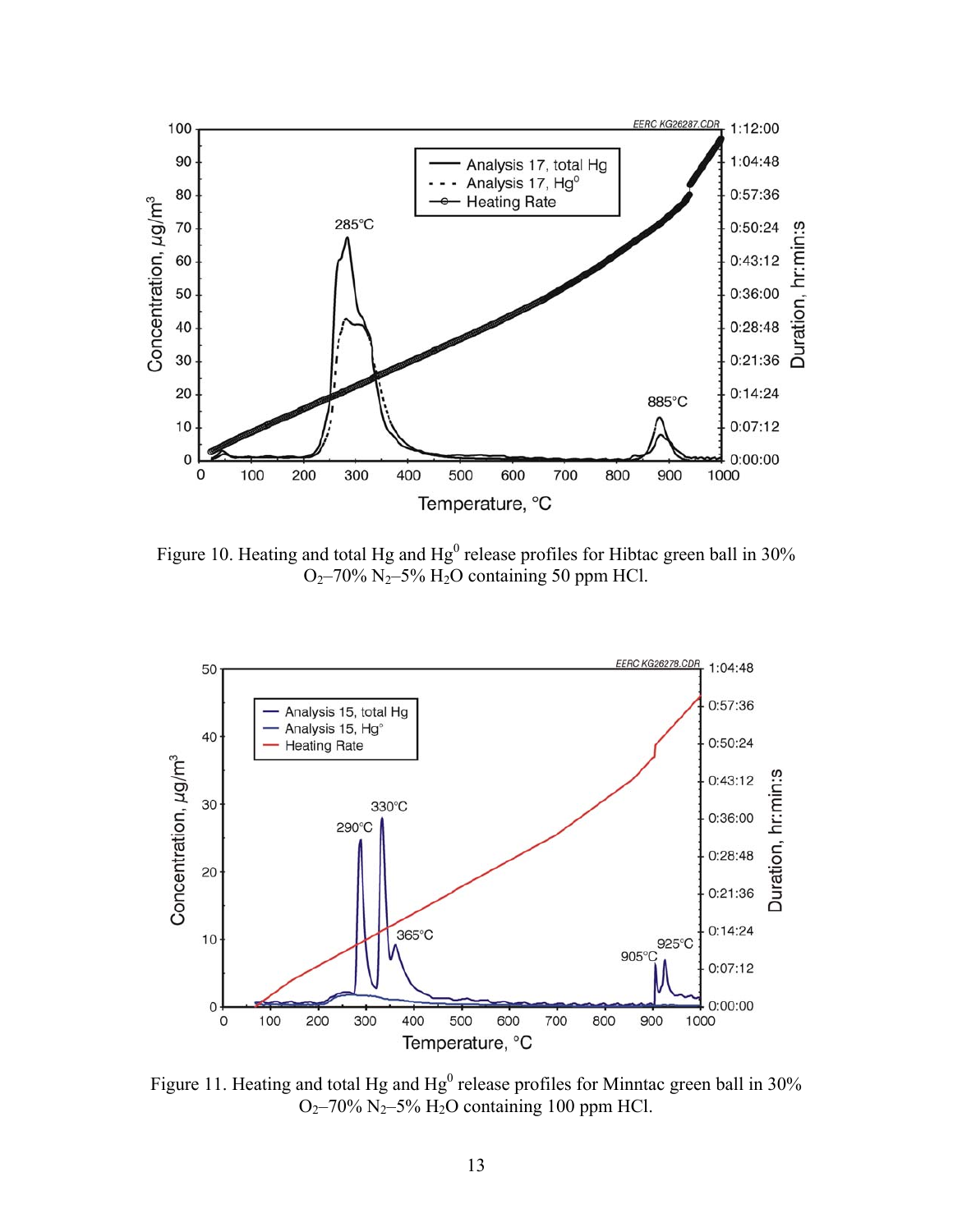

Figure 10. Heating and total Hg and  $Hg^0$  release profiles for Hibtac green ball in 30%  $O<sub>2</sub>$ –70% N<sub>2</sub>–5% H<sub>2</sub>O containing 50 ppm HCl.



Figure 11. Heating and total Hg and  $Hg^0$  release profiles for Minntac green ball in 30%  $O<sub>2</sub>$ –70% N<sub>2</sub>–5% H<sub>2</sub>O containing 100 ppm HCl.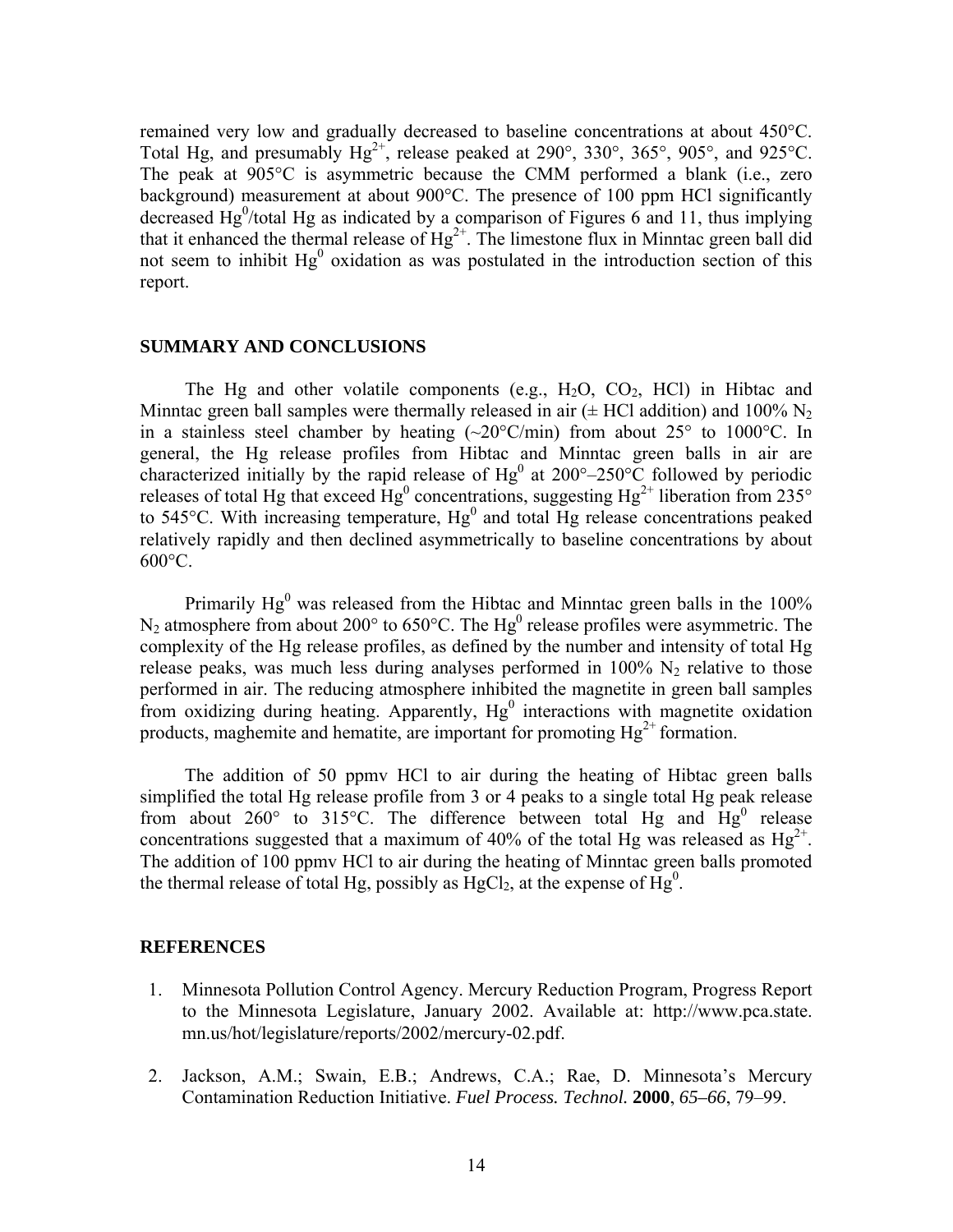remained very low and gradually decreased to baseline concentrations at about 450°C. Total Hg, and presumably  $Hg^{2+}$ , release peaked at 290°, 330°, 365°, 905°, and 925°C. The peak at 905°C is asymmetric because the CMM performed a blank (i.e., zero background) measurement at about 900°C. The presence of 100 ppm HCl significantly decreased  $Hg<sup>0</sup>/total Hg$  as indicated by a comparison of Figures 6 and 11, thus implying that it enhanced the thermal release of  $Hg^{2+}$ . The limestone flux in Minntac green ball did not seem to inhibit  $Hg^0$  oxidation as was postulated in the introduction section of this report.

#### **SUMMARY AND CONCLUSIONS**

The Hg and other volatile components (e.g.,  $H_2O$ ,  $CO_2$ ,  $HCl$ ) in Hibtac and Minntac green ball samples were thermally released in air  $(\pm$  HCl addition) and 100% N<sub>2</sub> in a stainless steel chamber by heating  $(\sim 20^{\circ} \text{C/min})$  from about  $25^{\circ}$  to 1000°C. In general, the Hg release profiles from Hibtac and Minntac green balls in air are characterized initially by the rapid release of  $Hg^0$  at 200°–250°C followed by periodic releases of total Hg that exceed  $Hg^0$  concentrations, suggesting  $Hg^{2+}$  liberation from 235° to 545 $^{\circ}$ C. With increasing temperature,  $Hg^{0}$  and total  $Hg$  release concentrations peaked relatively rapidly and then declined asymmetrically to baseline concentrations by about  $600^{\circ}$ C.

Primarily  $Hg^0$  was released from the Hibtac and Minntac green balls in the 100%  $N_2$  atmosphere from about 200 $^{\circ}$  to 650 $^{\circ}$ C. The Hg<sup>0</sup> release profiles were asymmetric. The complexity of the Hg release profiles, as defined by the number and intensity of total Hg release peaks, was much less during analyses performed in  $100\%$  N<sub>2</sub> relative to those performed in air. The reducing atmosphere inhibited the magnetite in green ball samples from oxidizing during heating. Apparently,  $Hg^0$  interactions with magnetite oxidation products, maghemite and hematite, are important for promoting  $Hg^{2+}$  formation.

 The addition of 50 ppmv HCl to air during the heating of Hibtac green balls simplified the total Hg release profile from 3 or 4 peaks to a single total Hg peak release from about 260 $^{\circ}$  to 315 $^{\circ}$ C. The difference between total Hg and  $Hg^{0}$  release concentrations suggested that a maximum of 40% of the total Hg was released as  $Hg^{2+}$ . The addition of 100 ppmv HCl to air during the heating of Minntac green balls promoted the thermal release of total Hg, possibly as  $HgCl<sub>2</sub>$ , at the expense of  $Hg<sup>0</sup>$ .

#### **REFERENCES**

- 1. Minnesota Pollution Control Agency. Mercury Reduction Program, Progress Report to the Minnesota Legislature, January 2002. Available at: http://www.pca.state. mn.us/hot/legislature/reports/2002/mercury-02.pdf.
- 2. Jackson, A.M.; Swain, E.B.; Andrews, C.A.; Rae, D. Minnesota's Mercury Contamination Reduction Initiative. *Fuel Process. Technol.* **2000**, *65–66*, 79–99.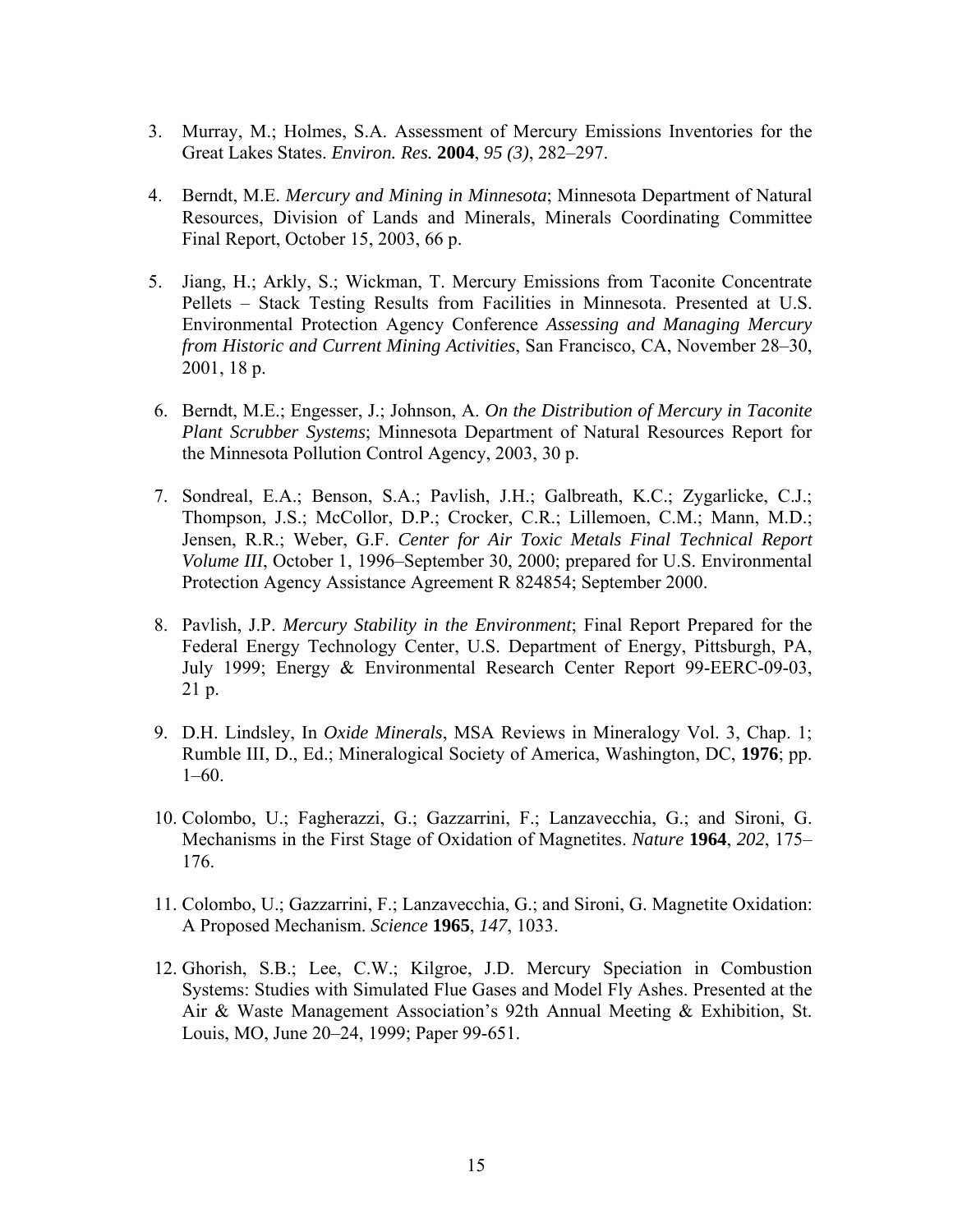- 3. Murray, M.; Holmes, S.A. Assessment of Mercury Emissions Inventories for the Great Lakes States. *Environ. Res.* **2004**, *95 (3)*, 282–297.
- 4. Berndt, M.E. *Mercury and Mining in Minnesota*; Minnesota Department of Natural Resources, Division of Lands and Minerals, Minerals Coordinating Committee Final Report, October 15, 2003, 66 p.
- 5. Jiang, H.; Arkly, S.; Wickman, T. Mercury Emissions from Taconite Concentrate Pellets – Stack Testing Results from Facilities in Minnesota. Presented at U.S. Environmental Protection Agency Conference *Assessing and Managing Mercury from Historic and Current Mining Activities*, San Francisco, CA, November 28–30, 2001, 18 p.
- 6. Berndt, M.E.; Engesser, J.; Johnson, A. *On the Distribution of Mercury in Taconite Plant Scrubber Systems*; Minnesota Department of Natural Resources Report for the Minnesota Pollution Control Agency, 2003, 30 p.
- 7. Sondreal, E.A.; Benson, S.A.; Pavlish, J.H.; Galbreath, K.C.; Zygarlicke, C.J.; Thompson, J.S.; McCollor, D.P.; Crocker, C.R.; Lillemoen, C.M.; Mann, M.D.; Jensen, R.R.; Weber, G.F. *Center for Air Toxic Metals Final Technical Report Volume III*, October 1, 1996–September 30, 2000; prepared for U.S. Environmental Protection Agency Assistance Agreement R 824854; September 2000.
- 8. Pavlish, J.P. *Mercury Stability in the Environment*; Final Report Prepared for the Federal Energy Technology Center, U.S. Department of Energy, Pittsburgh, PA, July 1999; Energy & Environmental Research Center Report 99-EERC-09-03, 21 p.
- 9. D.H. Lindsley, In *Oxide Minerals*, MSA Reviews in Mineralogy Vol. 3, Chap. 1; Rumble III, D., Ed.; Mineralogical Society of America, Washington, DC, **1976**; pp. 1–60.
- 10. Colombo, U.; Fagherazzi, G.; Gazzarrini, F.; Lanzavecchia, G.; and Sironi, G. Mechanisms in the First Stage of Oxidation of Magnetites. *Nature* **1964**, *202*, 175– 176.
- 11. Colombo, U.; Gazzarrini, F.; Lanzavecchia, G.; and Sironi, G. Magnetite Oxidation: A Proposed Mechanism. *Science* **1965**, *147*, 1033.
- 12. Ghorish, S.B.; Lee, C.W.; Kilgroe, J.D. Mercury Speciation in Combustion Systems: Studies with Simulated Flue Gases and Model Fly Ashes. Presented at the Air & Waste Management Association's 92th Annual Meeting & Exhibition, St. Louis, MO, June 20–24, 1999; Paper 99-651.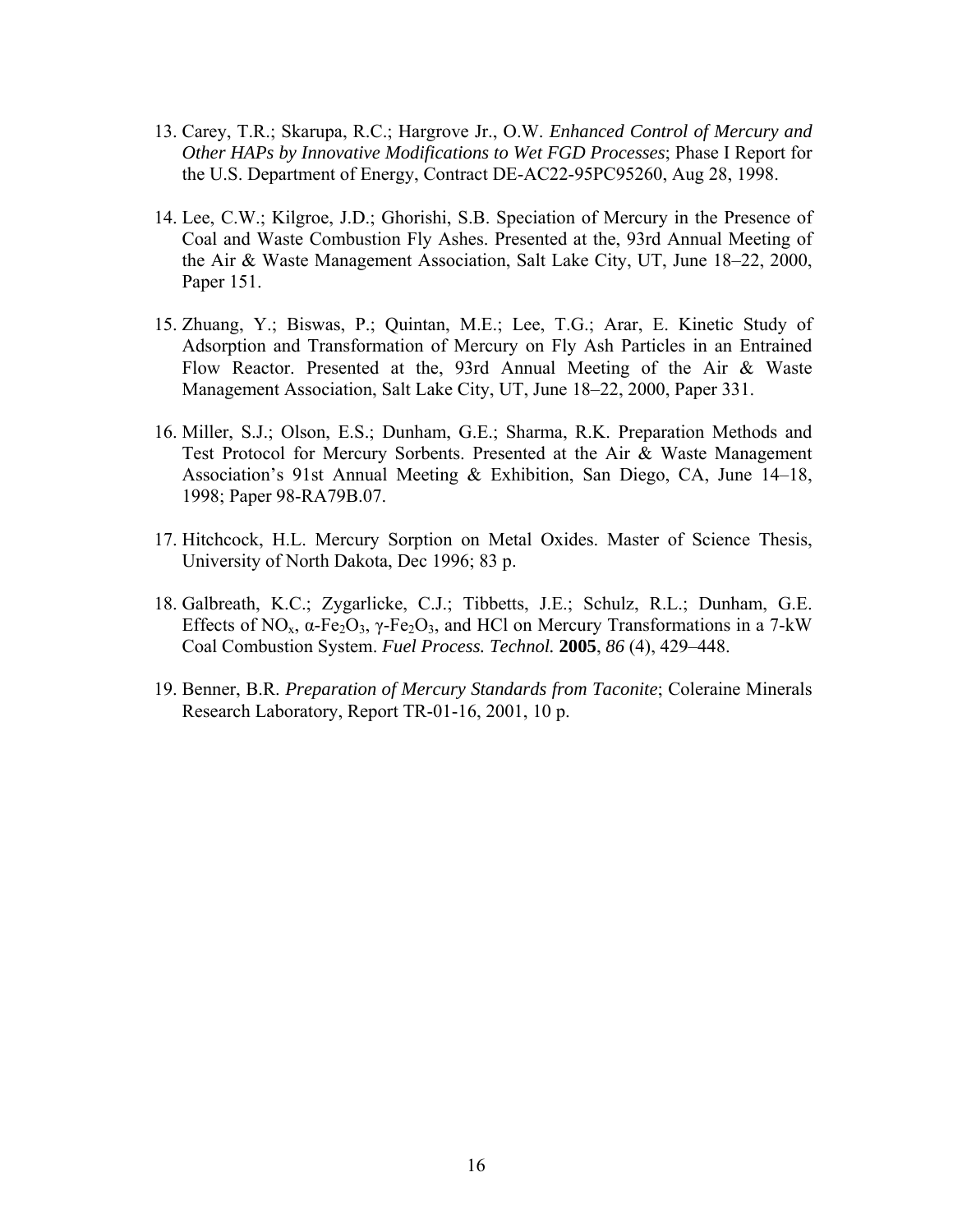- 13. Carey, T.R.; Skarupa, R.C.; Hargrove Jr., O.W. *Enhanced Control of Mercury and Other HAPs by Innovative Modifications to Wet FGD Processes*; Phase I Report for the U.S. Department of Energy, Contract DE-AC22-95PC95260, Aug 28, 1998.
- 14. Lee, C.W.; Kilgroe, J.D.; Ghorishi, S.B. Speciation of Mercury in the Presence of Coal and Waste Combustion Fly Ashes. Presented at the, 93rd Annual Meeting of the Air & Waste Management Association, Salt Lake City, UT, June 18–22, 2000, Paper 151.
- 15. Zhuang, Y.; Biswas, P.; Quintan, M.E.; Lee, T.G.; Arar, E. Kinetic Study of Adsorption and Transformation of Mercury on Fly Ash Particles in an Entrained Flow Reactor. Presented at the, 93rd Annual Meeting of the Air & Waste Management Association, Salt Lake City, UT, June 18–22, 2000, Paper 331.
- 16. Miller, S.J.; Olson, E.S.; Dunham, G.E.; Sharma, R.K. Preparation Methods and Test Protocol for Mercury Sorbents. Presented at the Air & Waste Management Association's 91st Annual Meeting & Exhibition, San Diego, CA, June 14–18, 1998; Paper 98-RA79B.07.
- 17. Hitchcock, H.L. Mercury Sorption on Metal Oxides. Master of Science Thesis, University of North Dakota, Dec 1996; 83 p.
- 18. Galbreath, K.C.; Zygarlicke, C.J.; Tibbetts, J.E.; Schulz, R.L.; Dunham, G.E. Effects of NO<sub>x</sub>,  $\alpha$ -Fe<sub>2</sub>O<sub>3</sub>,  $\gamma$ -Fe<sub>2</sub>O<sub>3</sub>, and HCl on Mercury Transformations in a 7-kW Coal Combustion System. *Fuel Process. Technol.* **2005**, *86* (4), 429–448.
- 19. Benner, B.R. *Preparation of Mercury Standards from Taconite*; Coleraine Minerals Research Laboratory, Report TR-01-16, 2001, 10 p.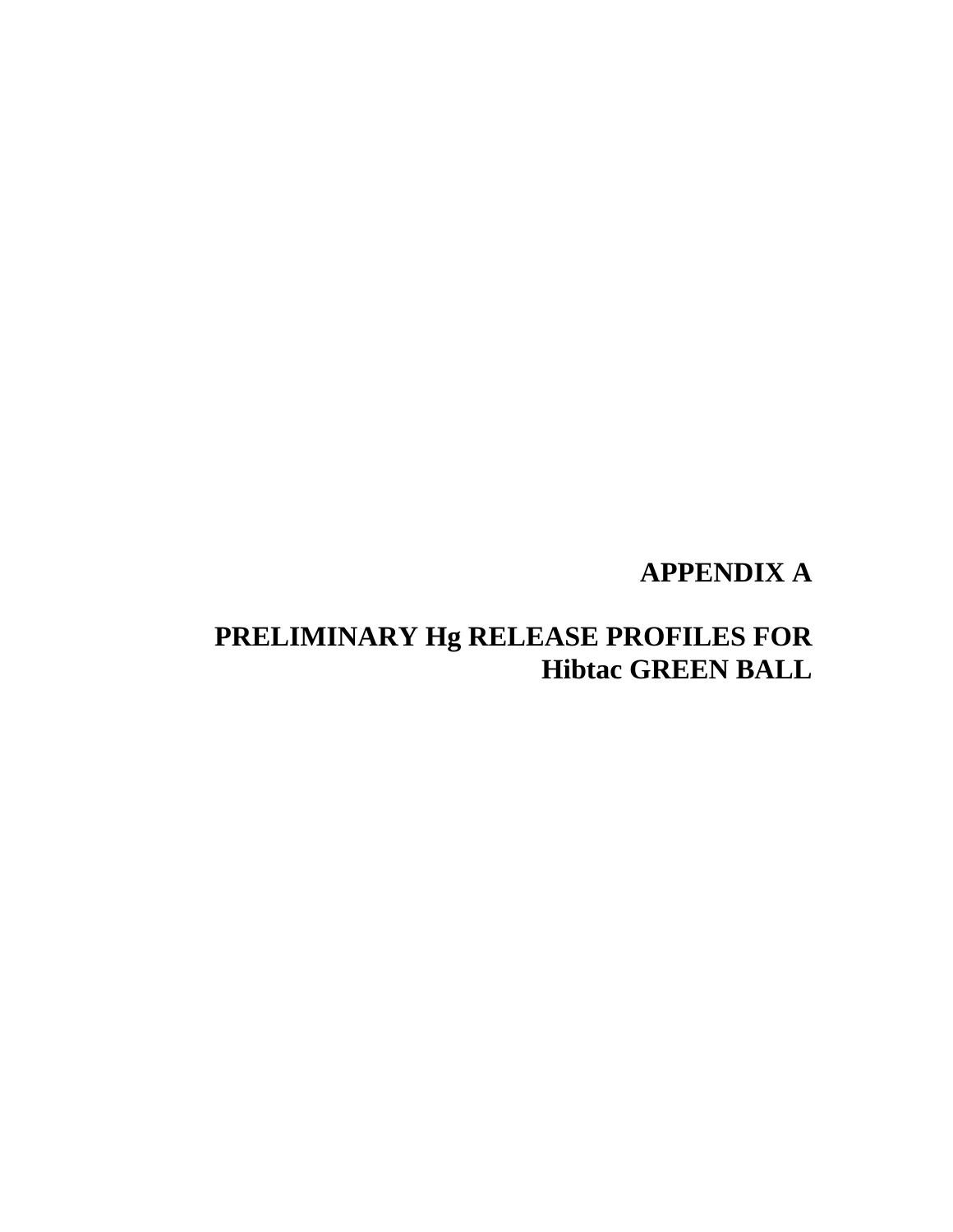# **APPENDIX A**

# **PRELIMINARY Hg RELEASE PROFILES FOR Hibtac GREEN BALL**